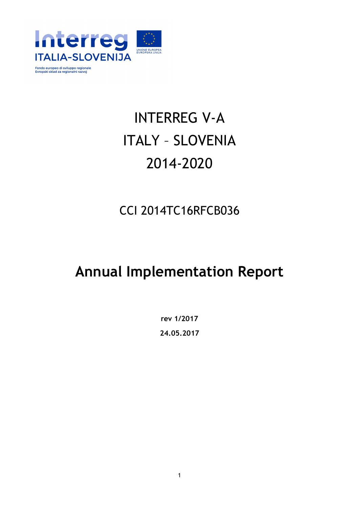

# INTERREG V-A ITALY – SLOVENIA 2014-2020

## CCI 2014TC16RFCB036

## **Annual Implementation Report**

**rev 1/2017 24.05.2017**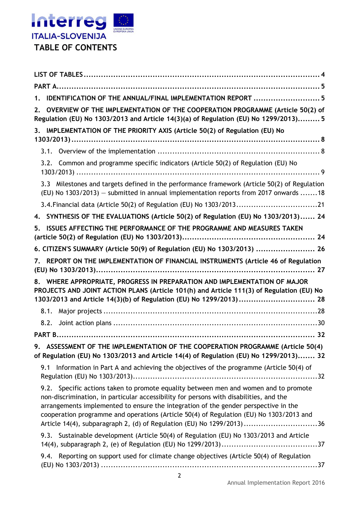

| IDENTIFICATION OF THE ANNUAL/FINAL IMPLEMENTATION REPORT  5<br>1.                                                                                                                                                                                                                                                                                                                                                                         |
|-------------------------------------------------------------------------------------------------------------------------------------------------------------------------------------------------------------------------------------------------------------------------------------------------------------------------------------------------------------------------------------------------------------------------------------------|
| OVERVIEW OF THE IMPLEMENTATION OF THE COOPERATION PROGRAMME (Article 50(2) of<br>2.<br>Regulation (EU) No 1303/2013 and Article 14(3)(a) of Regulation (EU) No 1299/2013)5                                                                                                                                                                                                                                                                |
| 3. IMPLEMENTATION OF THE PRIORITY AXIS (Article 50(2) of Regulation (EU) No                                                                                                                                                                                                                                                                                                                                                               |
|                                                                                                                                                                                                                                                                                                                                                                                                                                           |
| 3.2. Common and programme specific indicators (Article 50(2) of Regulation (EU) No                                                                                                                                                                                                                                                                                                                                                        |
| 3.3 Milestones and targets defined in the performance framework (Article 50(2) of Regulation<br>(EU) No 1303/2013) - submitted in annual implementation reports from 2017 onwards 18                                                                                                                                                                                                                                                      |
| 3.4. Financial data (Article 50(2) of Regulation (EU) No 1303/201321                                                                                                                                                                                                                                                                                                                                                                      |
| 4. SYNTHESIS OF THE EVALUATIONS (Article 50(2) of Regulation (EU) No 1303/2013) 24                                                                                                                                                                                                                                                                                                                                                        |
| ISSUES AFFECTING THE PERFORMANCE OF THE PROGRAMME AND MEASURES TAKEN<br>5.                                                                                                                                                                                                                                                                                                                                                                |
| 6. CITIZEN'S SUMMARY (Article 50(9) of Regulation (EU) No 1303/2013)  26                                                                                                                                                                                                                                                                                                                                                                  |
| REPORT ON THE IMPLEMENTATION OF FINANCIAL INSTRUMENTS (Article 46 of Regulation<br>7.                                                                                                                                                                                                                                                                                                                                                     |
|                                                                                                                                                                                                                                                                                                                                                                                                                                           |
| 8. WHERE APPROPRIATE, PROGRESS IN PREPARATION AND IMPLEMENTATION OF MAJOR<br>PROJECTS AND JOINT ACTION PLANS (Article 101(h) and Article 111(3) of Regulation (EU) No<br>1303/2013 and Article 14(3)(b) of Regulation (EU) No 1299/2013) 28                                                                                                                                                                                               |
|                                                                                                                                                                                                                                                                                                                                                                                                                                           |
| 8.2.                                                                                                                                                                                                                                                                                                                                                                                                                                      |
|                                                                                                                                                                                                                                                                                                                                                                                                                                           |
| 9. ASSESSMENT OF THE IMPLEMENTATION OF THE COOPERATION PROGRAMME (Article 50(4)<br>of Regulation (EU) No 1303/2013 and Article 14(4) of Regulation (EU) No 1299/2013) 32                                                                                                                                                                                                                                                                  |
| 9.1 Information in Part A and achieving the objectives of the programme (Article 50(4) of                                                                                                                                                                                                                                                                                                                                                 |
| 9.2. Specific actions taken to promote equality between men and women and to promote<br>non-discrimination, in particular accessibility for persons with disabilities, and the<br>arrangements implemented to ensure the integration of the gender perspective in the<br>cooperation programme and operations (Article 50(4) of Regulation (EU) No 1303/2013 and<br>Article 14(4), subparagraph 2, (d) of Regulation (EU) No 1299/2013)36 |
| 9.3. Sustainable development (Article 50(4) of Regulation (EU) No 1303/2013 and Article                                                                                                                                                                                                                                                                                                                                                   |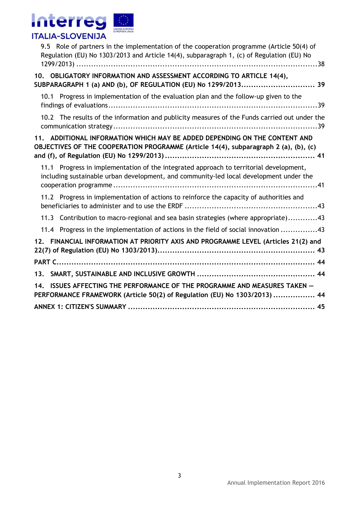

| 9.5 Role of partners in the implementation of the cooperation programme (Article 50(4) of<br>Regulation (EU) No 1303/2013 and Article 14(4), subparagraph 1, (c) of Regulation (EU) No |
|----------------------------------------------------------------------------------------------------------------------------------------------------------------------------------------|
| 10. OBLIGATORY INFORMATION AND ASSESSMENT ACCORDING TO ARTICLE 14(4),<br>SUBPARAGRAPH 1 (a) AND (b), OF REGULATION (EU) No 1299/2013 39                                                |
| 10.1 Progress in implementation of the evaluation plan and the follow-up given to the                                                                                                  |
| 10.2 The results of the information and publicity measures of the Funds carried out under the                                                                                          |
| 11. ADDITIONAL INFORMATION WHICH MAY BE ADDED DEPENDING ON THE CONTENT AND<br>OBJECTIVES OF THE COOPERATION PROGRAMME (Article 14(4), subparagraph 2 (a), (b), (c)                     |
| 11.1 Progress in implementation of the integrated approach to territorial development,<br>including sustainable urban development, and community-led local development under the       |
| 11.2 Progress in implementation of actions to reinforce the capacity of authorities and                                                                                                |
| 11.3 Contribution to macro-regional and sea basin strategies (where appropriate)43                                                                                                     |
| 11.4 Progress in the implementation of actions in the field of social innovation 43                                                                                                    |
| 12. FINANCIAL INFORMATION AT PRIORITY AXIS AND PROGRAMME LEVEL (Articles 21(2) and                                                                                                     |
|                                                                                                                                                                                        |
|                                                                                                                                                                                        |
| ISSUES AFFECTING THE PERFORMANCE OF THE PROGRAMME AND MEASURES TAKEN -<br>14.<br>PERFORMANCE FRAMEWORK (Article 50(2) of Regulation (EU) No 1303/2013)  44                             |
|                                                                                                                                                                                        |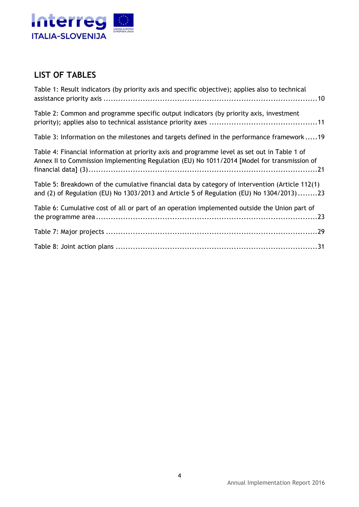

## **LIST OF TABLES**

| Table 1: Result indicators (by priority axis and specific objective); applies also to technical                                                                                             |
|---------------------------------------------------------------------------------------------------------------------------------------------------------------------------------------------|
| Table 2: Common and programme specific output indicators (by priority axis, investment                                                                                                      |
| Table 3: Information on the milestones and targets defined in the performance framework19                                                                                                   |
| Table 4: Financial information at priority axis and programme level as set out in Table 1 of<br>Annex II to Commission Implementing Regulation (EU) No 1011/2014 [Model for transmission of |
| Table 5: Breakdown of the cumulative financial data by category of intervention (Article 112(1)<br>and (2) of Regulation (EU) No 1303/2013 and Article 5 of Regulation (EU) No 1304/2013)23 |
| Table 6: Cumulative cost of all or part of an operation implemented outside the Union part of                                                                                               |
|                                                                                                                                                                                             |
|                                                                                                                                                                                             |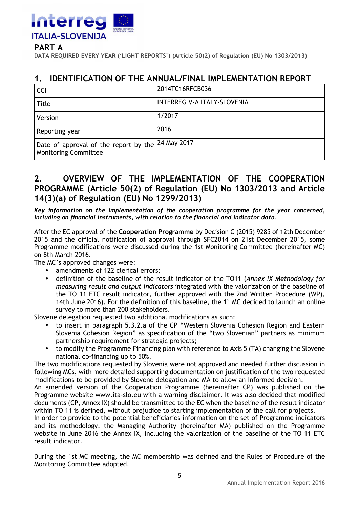

#### **PART A**

**DATA REQUIRED EVERY YEAR ('LIGHT REPORTS') (Article 50(2) of Regulation (EU) No 1303/2013)** 

#### **1. IDENTIFICATION OF THE ANNUAL/FINAL IMPLEMENTATION REPORT**

| <b>CCI</b>                                                                       | 2014TC16RFCB036                    |
|----------------------------------------------------------------------------------|------------------------------------|
| <b>Title</b>                                                                     | <b>INTERREG V-A ITALY-SLOVENIA</b> |
| Version                                                                          | 1/2017                             |
| Reporting year                                                                   | 2016                               |
| Date of approval of the report by the 24 May 2017<br><b>Monitoring Committee</b> |                                    |

#### **2. OVERVIEW OF THE IMPLEMENTATION OF THE COOPERATION PROGRAMME (Article 50(2) of Regulation (EU) No 1303/2013 and Article 14(3)(a) of Regulation (EU) No 1299/2013)**

*Key information on the implementation of the cooperation programme for the year concerned, including on financial instruments, with relation to the financial and indicator data.*

After the EC approval of the **Cooperation Programme** by Decision C (2015) 9285 of 12th December 2015 and the official notification of approval through SFC2014 on 21st December 2015, some Programme modifications were discussed during the 1st Monitoring Committee (hereinafter MC) on 8th March 2016.

The MC's approved changes were:

- amendments of 122 clerical errors;
- definition of the baseline of the result indicator of the TO11 (*Annex IX Methodology for measuring result and output indicators* integrated with the valorization of the baseline of the TO 11 ETC result indicator, further approved with the 2nd Written Procedure (WP), 14th June 2016). For the definition of this baseline, the  $1<sup>st</sup>$  MC decided to launch an online survey to more than 200 stakeholders.

Slovene delegation requested two additional modifications as such:

- to insert in paragraph 5.3.2.a of the CP "Western Slovenia Cohesion Region and Eastern Slovenia Cohesion Region" as specification of the "two Slovenian" partners as minimum partnership requirement for strategic projects;
- to modify the Programme Financing plan with reference to Axis 5 (TA) changing the Slovene national co-financing up to 50%.

The two modifications requested by Slovenia were not approved and needed further discussion in following MCs, with more detailed supporting documentation on justification of the two requested modifications to be provided by Slovene delegation and MA to allow an informed decision.

An amended version of the Cooperation Programme (hereinafter CP) was published on the Programme website www.ita-slo.eu with a warning disclaimer. It was also decided that modified documents (CP, Annex IX) should be transmitted to the EC when the baseline of the result indicator within TO 11 is defined, without prejudice to starting implementation of the call for projects.

In order to provide to the potential beneficiaries information on the set of Programme indicators and its methodology, the Managing Authority (hereinafter MA) published on the Programme website in June 2016 the Annex IX, including the valorization of the baseline of the TO 11 ETC result indicator.

During the 1st MC meeting, the MC membership was defined and the Rules of Procedure of the Monitoring Committee adopted.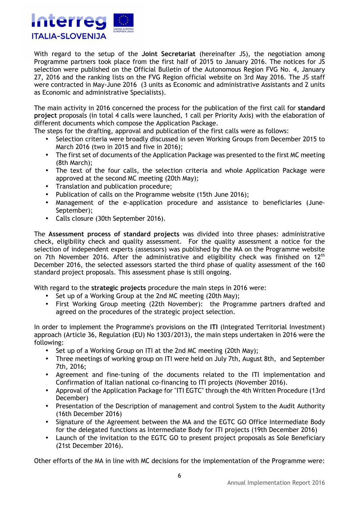

With regard to the setup of the **Joint Secretariat** (hereinafter JS), the negotiation among Programme partners took place from the first half of 2015 to January 2016. The notices for JS selection were published on the Official Bulletin of the Autonomous Region FVG No. 4, January 27, 2016 and the ranking lists on the FVG Region official website on 3rd May 2016. The JS staff were contracted in May-June 2016 (3 units as Economic and administrative Assistants and 2 units as Economic and administrative Specialists).

The main activity in 2016 concerned the process for the publication of the first call for **standard project** proposals (in total 4 calls were launched, 1 call per Priority Axis) with the elaboration of different documents which compose the Application Package.

The steps for the drafting, approval and publication of the first calls were as follows:

- Selection criteria were broadly discussed in seven Working Groups from December 2015 to March 2016 (two in 2015 and five in 2016);
- The first set of documents of the Application Package was presented to the first MC meeting (8th March);
- The text of the four calls, the selection criteria and whole Application Package were approved at the second MC meeting (20th May);
- Translation and publication procedure;
- Publication of calls on the Programme website (15th June 2016);
- Management of the e-application procedure and assistance to beneficiaries (June-September);
- Calls closure (30th September 2016).

The **Assessment process of standard projects** was divided into three phases: administrative check, eligibility check and quality assessment. For the quality assessment a notice for the selection of independent experts (assessors) was published by the MA on the Programme website on 7th November 2016. After the administrative and eligibility check was finished on  $12<sup>th</sup>$ December 2016, the selected assessors started the third phase of quality assessment of the 160 standard project proposals. This assessment phase is still ongoing.

With regard to the **strategic projects** procedure the main steps in 2016 were:

- Set up of a Working Group at the 2nd MC meeting (20th May);
- First Working Group meeting (22th November): the Programme partners drafted and agreed on the procedures of the strategic project selection.

In order to implement the Programme's provisions on the **ITI** (Integrated Territorial Investment) approach (Article 36, Regulation (EU) No 1303/2013), the main steps undertaken in 2016 were the following:

- Set up of a Working Group on ITI at the 2nd MC meeting (20th May);
- Three meetings of working group on ITI were held on July 7th, August 8th, and September 7th, 2016;
- Agreement and fine-tuning of the documents related to the ITI implementation and Confirmation of Italian national co-financing to ITI projects (November 2016).
- Approval of the Application Package for "ITI EGTC" through the 4th Written Procedure (13rd December)
- Presentation of the Description of management and control System to the Audit Authority (16th December 2016)
- Signature of the Agreement between the MA and the EGTC GO Office Intermediate Body for the delegated functions as Intermediate Body for ITI projects (19th December 2016)
- Launch of the invitation to the EGTC GO to present project proposals as Sole Beneficiary (21st December 2016).

Other efforts of the MA in line with MC decisions for the implementation of the Programme were: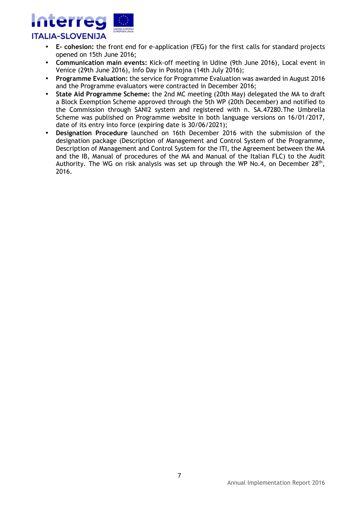

- **E- cohesion:** the front end for e-application (FEG) for the first calls for standard projects opened on 15th June 2016;
- **Communication main events:** Kick-off meeting in Udine (9th June 2016), Local event in Venice (29th June 2016), Info Day in Postojna (14th July 2016);
- **Programme Evaluation:** the service for Programme Evaluation was awarded in August 2016 and the Programme evaluators were contracted in December 2016;
- **State Aid Programme Scheme:** the 2nd MC meeting (20th May) delegated the MA to draft a Block Exemption Scheme approved through the 5th WP (20th December) and notified to the Commission through SANI2 system and registered with n. SA.47280.The Umbrella Scheme was published on Programme website in both language versions on 16/01/2017, date of its entry into force (expiring date is 30/06/2021);
- **Designation Procedure** launched on 16th December 2016 with the submission of the designation package (Description of Management and Control System of the Programme, Description of Management and Control System for the ITI, the Agreement between the MA and the IB, Manual of procedures of the MA and Manual of the Italian FLC) to the Audit Authority. The WG on risk analysis was set up through the WP No.4, on December  $28^{th}$ , 2016.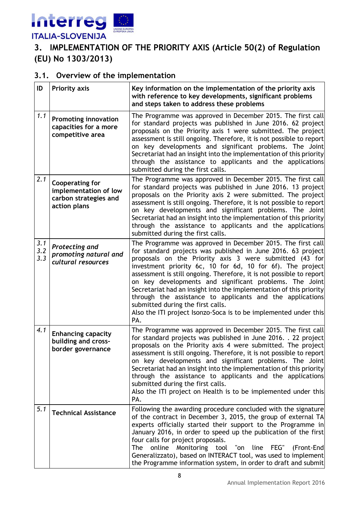

## **3. IMPLEMENTATION OF THE PRIORITY AXIS (Article 50(2) of Regulation (EU) No 1303/2013)**

#### **3.1. Overview of the implementation**

| ID                | <b>Priority axis</b>                                                                     | Key information on the implementation of the priority axis<br>with reference to key developments, significant problems<br>and steps taken to address these problems                                                                                                                                                                                                                                                                                                                                                                                                                                                                         |
|-------------------|------------------------------------------------------------------------------------------|---------------------------------------------------------------------------------------------------------------------------------------------------------------------------------------------------------------------------------------------------------------------------------------------------------------------------------------------------------------------------------------------------------------------------------------------------------------------------------------------------------------------------------------------------------------------------------------------------------------------------------------------|
| 1.1               | <b>Promoting innovation</b><br>capacities for a more<br>competitive area                 | The Programme was approved in December 2015. The first call<br>for standard projects was published in June 2016. 62 project<br>proposals on the Priority axis 1 were submitted. The project<br>assessment is still ongoing. Therefore, it is not possible to report<br>on key developments and significant problems. The Joint<br>Secretariat had an insight into the implementation of this priority<br>through the assistance to applicants and the applications<br>submitted during the first calls.                                                                                                                                     |
| 2.1               | <b>Cooperating for</b><br>implementation of low<br>carbon strategies and<br>action plans | The Programme was approved in December 2015. The first call<br>for standard projects was published in June 2016. 13 project<br>proposals on the Priority axis 2 were submitted. The project<br>assessment is still ongoing. Therefore, it is not possible to report<br>on key developments and significant problems. The Joint<br>Secretariat had an insight into the implementation of this priority<br>through the assistance to applicants and the applications<br>submitted during the first calls.                                                                                                                                     |
| 3.1<br>3.2<br>3.3 | Protecting and<br>promoting natural and<br>cultural resources                            | The Programme was approved in December 2015. The first call<br>for standard projects was published in June 2016. 63 project<br>proposals on the Priority axis 3 were submitted (43 for<br>investment priority 6c, 10 for 6d, 10 for 6f). The project<br>assessment is still ongoing. Therefore, it is not possible to report<br>on key developments and significant problems. The Joint<br>Secretariat had an insight into the implementation of this priority<br>through the assistance to applicants and the applications<br>submitted during the first calls.<br>Also the ITI project Isonzo-Soca is to be implemented under this<br>PA. |
| 4.1               | <b>Enhancing capacity</b><br>building and cross-<br>border governance                    | The Programme was approved in December 2015. The first call<br>for standard projects was published in June 2016. . 22 project<br>proposals on the Priority axis 4 were submitted. The project<br>assessment is still ongoing. Therefore, it is not possible to report<br>on key developments and significant problems. The Joint<br>Secretariat had an insight into the implementation of this priority<br>through the assistance to applicants and the applications<br>submitted during the first calls.<br>Also the ITI project on Health is to be implemented under this<br>PA.                                                          |
| 5.1               | <b>Technical Assistance</b>                                                              | Following the awarding procedure concluded with the signature<br>of the contract in December 3, 2015, the group of external TA<br>experts officially started their support to the Programme in<br>January 2016, in order to speed up the publication of the first<br>four calls for project proposals.<br>online<br>Monitoring tool "on<br>line<br>The<br>FEG"<br>(Front-End)<br>Generalizzato), based on INTERACT tool, was used to implement<br>the Programme information system, in order to draft and submit                                                                                                                            |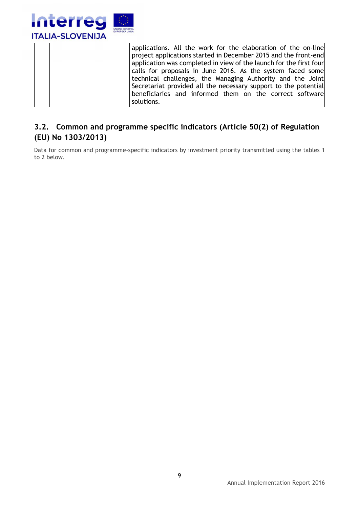

|            | applications. All the work for the elaboration of the on-line      |
|------------|--------------------------------------------------------------------|
|            | project applications started in December 2015 and the front-end    |
|            | application was completed in view of the launch for the first four |
|            | calls for proposals in June 2016. As the system faced some         |
|            | technical challenges, the Managing Authority and the Joint         |
|            | Secretariat provided all the necessary support to the potential    |
|            | beneficiaries and informed them on the correct software            |
| solutions. |                                                                    |

#### **3.2. Common and programme specific indicators (Article 50(2) of Regulation (EU) No 1303/2013)**

Data for common and programme-specific indicators by investment priority transmitted using the tables 1 to 2 below.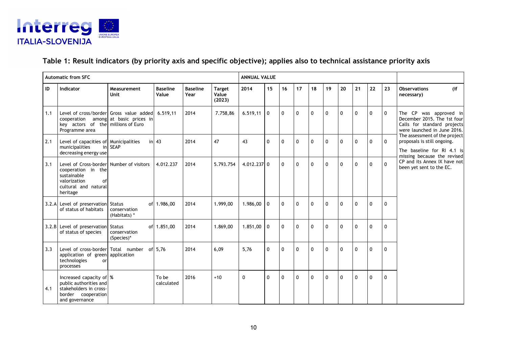

#### **Table 1: Result indicators (by priority axis and specific objective); applies also to technical assistance priority axis**

|     | <b>Automatic from SFC</b>                                                                                                               |                              |                          |                         |                                  | <b>ANNUAL VALUE</b> |              |              |              |             |              |              |              |              |              |                                                                                                                           |
|-----|-----------------------------------------------------------------------------------------------------------------------------------------|------------------------------|--------------------------|-------------------------|----------------------------------|---------------------|--------------|--------------|--------------|-------------|--------------|--------------|--------------|--------------|--------------|---------------------------------------------------------------------------------------------------------------------------|
| ID  | Indicator                                                                                                                               | Measurement<br>Unit          | <b>Baseline</b><br>Value | <b>Baseline</b><br>Year | <b>Target</b><br>Value<br>(2023) | 2014                | 15           | 16           | 17           | 18          | 19           | 20           | 21           | 22           | 23           | <b>Observations</b><br>(if)<br>necessary)                                                                                 |
| 1.1 | Level of cross/border Gross value added<br>cooperation among at basic prices in<br>key actors of the millions of Euro<br>Programme area |                              | 6.519.11                 | 2014                    | 7.758,86                         | $6.519,11$ 0        |              | $\mathbf{0}$ | $\mathbf{0}$ | 0           | $\mathbf{0}$ | $\mathbf{0}$ | 0            | $\mathbf{0}$ | $\mathbf{0}$ | The CP was approved in<br>December 2015. The 1st four<br>Calls for standard projects<br>were launched in June 2016.       |
| 2.1 | Level of capacities of Municipalities<br>municipalities<br>decreasing energy use                                                        | in SEAP                      | in $43$                  | 2014                    | 47                               | 43                  | 0            | $\mathbf 0$  | $\mathbf{0}$ | $\Omega$    | $\mathbf{0}$ | $\mathbf{0}$ | $\mathbf{0}$ | $\mathbf{0}$ | $\mathbf{0}$ | The assessment of the project<br>proposals is still ongoing.<br>The baseline for RI 4.1 is<br>missing because the revised |
| 3.1 | Level of Cross-border Number of visitors<br>cooperation in the<br>sustainable<br>valorization<br>of<br>cultural and natural<br>heritage |                              | 4.012.237                | 2014                    | 5.793.754                        | 4.012.237 0         |              | $\mathbf 0$  | $\mathbf{0}$ | $\mathbf 0$ | $\mathbf{0}$ | $\mathbf{0}$ | $\mathbf 0$  | $\mathbf{0}$ | $\Omega$     | CP and its Annex IX have not<br>been yet sent to the EC.                                                                  |
|     | 3.2.A Level of preservation Status<br>of status of habitats                                                                             | conservation<br>(Habitats) * | of 1.986.00              | 2014                    | 1.999.00                         | $1.986.00$ 0        |              | $\mathbf{0}$ | $\mathbf{0}$ | $\Omega$    | $\mathbf{0}$ | $\mathbf{0}$ | $\mathbf{0}$ | $\mathbf{0}$ | $\Omega$     |                                                                                                                           |
|     | 3.2.B Level of preservation Status<br>of status of species                                                                              | conservation<br>(Species)*   | of 1.851,00              | 2014                    | 1.869,00                         | $1.851,00$ 0        |              | $\mathbf{0}$ | $\mathbf{0}$ | $\Omega$    | $\mathbf{0}$ | $\mathbf{0}$ | $\mathbf{0}$ | $\mathbf{0}$ | $\mathbf{0}$ |                                                                                                                           |
| 3.3 | Level of cross-border Total number of 5,76<br>application of green application<br>technologies<br>or<br>processes                       |                              |                          | 2014                    | 6,09                             | 5,76                | 0            | $\mathbf 0$  | $\mathbf{0}$ | $\Omega$    | $\mathbf{0}$ | $\mathbf{0}$ | $\mathbf{0}$ | $\mathbf{0}$ | $\Omega$     |                                                                                                                           |
| 4.1 | Increased capacity of \%<br>public authorities and<br>stakeholders in cross-<br>border cooperation<br>and governance                    |                              | To be<br>calculated      | 2016                    | $+10$                            | $\mathbf{0}$        | $\mathbf{0}$ | $\mathbf{0}$ | $\Omega$     | $\Omega$    | $\Omega$     | $\mathbf{0}$ | $\mathbf{0}$ | $\mathbf{0}$ | $\Omega$     |                                                                                                                           |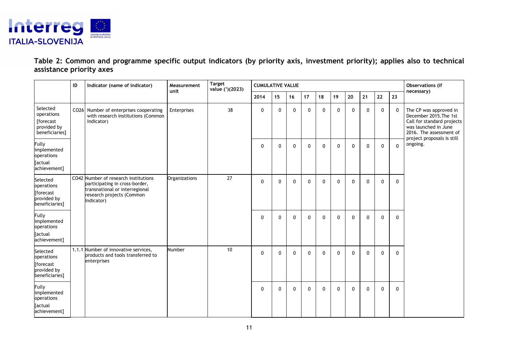

**Table 2: Common and programme specific output indicators (by priority axis, investment priority); applies also to technical assistance priority axes** 

|                                                                             | ID | Indicator (name of indicator)                                                                                                                       | Measurement<br>unit | <b>Target</b><br>value $(^{1})$ (2023) | <b>CUMULATIVE VALUE</b> |              |              |              |              |              |              |    |              |              | Observations (if<br>necessary)                                                                                                                                  |
|-----------------------------------------------------------------------------|----|-----------------------------------------------------------------------------------------------------------------------------------------------------|---------------------|----------------------------------------|-------------------------|--------------|--------------|--------------|--------------|--------------|--------------|----|--------------|--------------|-----------------------------------------------------------------------------------------------------------------------------------------------------------------|
|                                                                             |    |                                                                                                                                                     |                     |                                        | 2014                    | 15           | 16           | 17           | 18           | 19           | 20           | 21 | 22           | 23           |                                                                                                                                                                 |
| Selected<br>operations<br>[forecast<br>provided by<br>beneficiaries]        |    | CO26 Number of enterprises cooperating<br>with research institutions (Common<br>Indicator)                                                          | Enterprises         | 38                                     | 0                       | $\mathbf 0$  | $\mathbf 0$  | 0            | $\mathbf{0}$ | $\mathbf 0$  | 0            | 0  | 0            | 0            | The CP was approved in<br>December 2015. The 1st<br>Call for standard projects<br>was launched in June<br>2016. The assessment of<br>project proposals is still |
| Fully<br>implemented<br>operations<br><b>Tactual</b><br>achievement]        |    |                                                                                                                                                     |                     |                                        | $\mathbf 0$             | $\mathbf{0}$ | $\Omega$     | $\mathbf{0}$ | 0            | $\mathbf 0$  | $\mathbf{0}$ | 0  | $\mathbf 0$  | $\mathbf{0}$ | ongoing.                                                                                                                                                        |
| Selected<br>operations<br><b>forecast</b><br>provided by<br>beneficiaries]  |    | CO42 Number of research institutions<br>participating in cross-border,<br>transnational or interregional<br>research projects (Common<br>Indicator) | Organizations       | 27                                     | $\mathbf 0$             | $\Omega$     | $\Omega$     | $\Omega$     | $\mathbf{0}$ | $\mathbf{0}$ | 0            | 0  | $\mathbf{0}$ | $\mathbf{0}$ |                                                                                                                                                                 |
| <b>Fully</b><br>implemented<br>operations<br><b>Tactual</b><br>achievement] |    |                                                                                                                                                     |                     |                                        | $\mathbf 0$             | $\mathbf{0}$ | $\mathbf{0}$ | $\mathbf{0}$ | $\mathbf{0}$ | $\mathbf{0}$ | $\mathbf{0}$ | 0  | $\mathbf{0}$ | $\mathbf{0}$ |                                                                                                                                                                 |
| Selected<br>operations<br><b>forecast</b><br>provided by<br>beneficiaries]  |    | 1.1.1 Number of innovative services,<br>products and tools transferred to<br>enterprises                                                            | Number              | 10                                     | $\mathbf 0$             | $\mathbf{0}$ | $\Omega$     | $\mathbf{0}$ | $\mathbf{0}$ | $\mathbf{0}$ | $\mathbf{0}$ | 0  | $\mathbf 0$  | $\mathbf{0}$ |                                                                                                                                                                 |
| Fully<br>implemented<br>operations<br><b>Tactual</b><br>achievement]        |    |                                                                                                                                                     |                     |                                        | $\mathbf 0$             | $\Omega$     | $\mathbf{0}$ | $\mathbf{0}$ | $\mathbf{0}$ | $\mathbf{0}$ | $\mathbf{0}$ | 0  | $\mathbf{0}$ | $\mathbf{0}$ |                                                                                                                                                                 |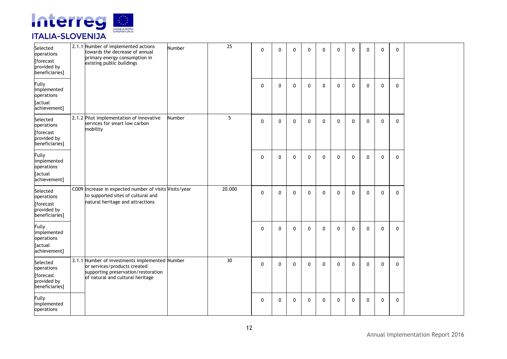

| Selected<br>operations<br>[forecast<br>provided by<br>beneficiaries]       | 2.1.1 Number of implemented actions<br>towards the decrease of annual<br>primary energy consumption in<br>existing public buildings                       | Number | 25              | $\mathbf{0}$ | $\mathbf{0}$ | $\mathbf 0$  | $\mathbf{0}$ | $\Omega$     | $\mathbf{0}$ | $\mathbf{0}$ | $\Omega$     | $\mathbf{0}$ | $\mathbf{0}$ |  |
|----------------------------------------------------------------------------|-----------------------------------------------------------------------------------------------------------------------------------------------------------|--------|-----------------|--------------|--------------|--------------|--------------|--------------|--------------|--------------|--------------|--------------|--------------|--|
| <b>Fully</b><br>implemented<br>operations<br>[actual<br>achievement]       |                                                                                                                                                           |        |                 | $\mathbf{0}$ | $\Omega$     | $\mathbf{0}$ | $\mathbf{0}$ | $\Omega$     | $\mathbf{0}$ | $\mathbf{0}$ | $\mathbf{0}$ | $\mathbf{0}$ | $\mathbf{0}$ |  |
| Selected<br>operations<br>[forecast<br>provided by<br>beneficiaries]       | 2.1.2 Pilot implementation of innovative<br>services for smart low carbon<br>mobility                                                                     | Number | 5               | $\mathbf 0$  | $\mathbf{0}$ | $\mathbf{0}$ | $\mathbf{0}$ | $\mathbf{0}$ | $\mathbf{0}$ | $\mathbf{0}$ | $\mathbf{0}$ | $\mathbf{0}$ | $\mathbf 0$  |  |
| <b>Fully</b><br>implemented<br>operations<br>[actual<br>achievement]       |                                                                                                                                                           |        |                 | $\mathbf{0}$ | $\mathbf{0}$ | $\mathbf{0}$ | $\mathbf{0}$ | $\mathbf{0}$ | $\mathbf{0}$ | $\mathbf{0}$ | $\mathbf{0}$ | $\mathbf{0}$ | $\mathbf{0}$ |  |
| Selected<br>operations<br>[forecast<br>provided by<br>beneficiaries]       | CO09 Increase in expected number of visits Visits/year<br>to supported sites of cultural and<br>natural heritage and attractions                          |        | 20.000          | 0            | $\mathbf 0$  | $\mathbf 0$  | $\mathbf 0$  | $\mathbf 0$  | 0            | $\mathbf{0}$ | $\mathbf{0}$ | $\mathbf 0$  | $\mathbf 0$  |  |
| <b>Fully</b><br>implemented<br>operations<br>[actual<br>achievement]       |                                                                                                                                                           |        |                 | $\mathbf 0$  | $\mathbf 0$  | $\mathbf 0$  | $\mathbf{0}$ | $\mathbf 0$  | $\mathbf{0}$ | $\mathbf{0}$ | $\mathbf{0}$ | $\mathbf 0$  | 0            |  |
| Selected<br>operations<br><b>forecast</b><br>provided by<br>beneficiaries] | 3.1.1 Number of investments implemented Number<br>or services/products created<br>supporting preservation/restoration<br>of natural and cultural heritage |        | 30 <sup>°</sup> | $\mathbf 0$  | $\mathbf 0$  | $\mathbf{0}$ | $\mathbf{0}$ | 0            | $\mathbf{0}$ | $\mathbf{0}$ | $\mathbf{0}$ | $\mathbf 0$  | $\mathbf{0}$ |  |
| <b>Fully</b><br>implemented<br>operations                                  |                                                                                                                                                           |        |                 | $\mathbf 0$  | $\mathbf 0$  | $\mathbf 0$  | 0            | 0            | 0            | $\mathbf{0}$ | 0            | 0            | $\mathbf 0$  |  |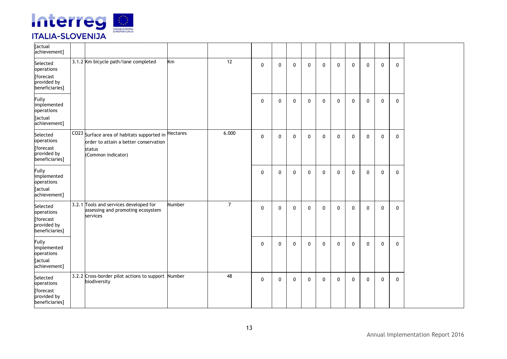

| [actual<br>achievement]                                                     |                                                                                                                     |          |                |              |              |              |              |              |              |              |              |              |             |  |
|-----------------------------------------------------------------------------|---------------------------------------------------------------------------------------------------------------------|----------|----------------|--------------|--------------|--------------|--------------|--------------|--------------|--------------|--------------|--------------|-------------|--|
| Selected<br>operations<br>[forecast<br>provided by<br>beneficiaries]        | 3.1.2 Km bicycle path/lane completed                                                                                | Km       | 12             | $\mathbf 0$  | $\mathbf 0$  | $\mathbf 0$  | $\mathbf{0}$ | $\mathbf 0$  | $\mathbf{0}$ | $\mathbf 0$  | $\mathbf{0}$ | $\mathbf{0}$ | $\mathbf 0$ |  |
| <b>Fully</b><br>implemented<br>operations<br>[actual<br>achievement]        |                                                                                                                     |          |                | $\mathbf 0$  | $\mathbf 0$  | $\mathbf{0}$ | $\mathbf{0}$ | $\mathbf 0$  | $\mathbf{0}$ | 0            | $\mathbf{0}$ | $\Omega$     | $\mathbf 0$ |  |
| Selected<br>operations<br>[forecast<br>provided by<br>beneficiaries]        | CO23 Surface area of habitats supported in<br>order to attain a better conservation<br>status<br>(Common indicator) | Hectares | 6.000          | $\mathbf{0}$ | $\mathbf{0}$ | $\mathbf{0}$ | $\mathbf{0}$ | $\mathbf{0}$ | $\mathbf{0}$ | $\mathbf{0}$ | $\mathbf{0}$ | $\Omega$     | $\mathbf 0$ |  |
| <b>Fully</b><br>implemented<br>operations<br>[actual<br>achievement]        |                                                                                                                     |          |                | $\mathbf 0$  | $\mathbf 0$  | $\mathbf 0$  | $\mathbf 0$  | $\mathbf 0$  | $\mathbf 0$  | 0            | $\mathbf 0$  | $\mathbf 0$  | 0           |  |
| Selected<br>operations<br><b>[forecast</b><br>provided by<br>beneficiaries] | 3.2.1 Tools and services developed for<br>assessing and promoting ecosystem<br>services                             | Number   | $\overline{7}$ | $\mathbf 0$  | $\mathbf 0$  | $\mathbf 0$  | $\mathbf 0$  | $\mathbf 0$  | $\mathbf 0$  | 0            | $\mathbf 0$  | $\Omega$     | 0           |  |
| <b>Fully</b><br>implemented<br>operations<br>[actual<br>achievement]        |                                                                                                                     |          |                | $\mathbf 0$  | $\mathbf 0$  | $\mathbf 0$  | $\mathbf 0$  | $\mathbf 0$  | $\mathbf 0$  | 0            | $\mathbf{0}$ | $\Omega$     | $\mathbf 0$ |  |
| Selected<br>operations<br>[forecast<br>provided by<br>beneficiaries]        | 3.2.2 Cross-border pilot actions to support<br>biodiversity                                                         | Number   | 48             | $\mathbf 0$  | $\mathbf 0$  | $\mathbf 0$  | $\mathbf{0}$ | $\mathbf 0$  | $\mathbf 0$  | 0            | $\mathbf{0}$ | $\Omega$     | $\mathbf 0$ |  |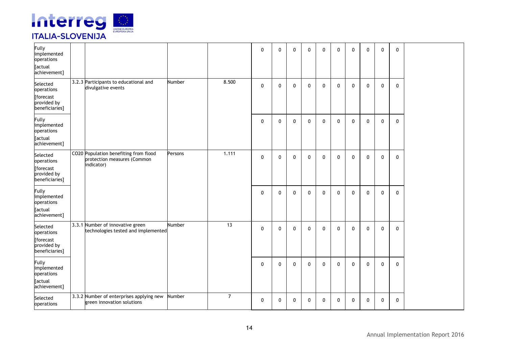

| Fully<br>implemented<br>operations<br>[actual<br>achievement]        |                                                                                    |         |                | $\mathbf 0$  | $\mathbf{0}$ | $\mathbf{0}$ | $\mathbf{0}$ | $\mathbf 0$  | $\mathbf{0}$ | $\mathbf 0$  | 0            | $\mathbf 0$  | 0            |  |
|----------------------------------------------------------------------|------------------------------------------------------------------------------------|---------|----------------|--------------|--------------|--------------|--------------|--------------|--------------|--------------|--------------|--------------|--------------|--|
| Selected<br>operations<br>[forecast<br>provided by<br>beneficiaries] | 3.2.3 Participants to educational and<br>divulgative events                        | Number  | 8.500          | $\mathbf 0$  | $\mathbf{0}$ | $\mathbf 0$  | 0            | $\mathbf 0$  | $\mathbf 0$  | 0            | 0            | $\mathbf 0$  | 0            |  |
| Fully<br>implemented<br>operations<br><b>Tactual</b><br>achievement] |                                                                                    |         |                | $\mathbf{0}$ | $\mathbf{0}$ | $\Omega$     | $\mathbf{0}$ | $\mathbf{0}$ | $\mathbf{0}$ | $\mathbf 0$  | 0            | $\mathbf{0}$ | 0            |  |
| Selected<br>operations<br>[forecast<br>provided by<br>beneficiaries] | CO20 Population benefiting from flood<br>protection measures (Common<br>indicator) | Persons | 1.111          | $\mathbf 0$  | $\mathbf{0}$ | $\mathbf 0$  | 0            | $\mathbf 0$  | 0            | $\mathbf 0$  | 0            | $\mathbf 0$  | $\mathbf 0$  |  |
| Fully<br>implemented<br>operations<br>[actual<br>achievement]        |                                                                                    |         |                | $\mathbf 0$  | $\mathbf{0}$ | $\mathbf{0}$ | $\mathbf{0}$ | $\mathbf{0}$ | 0            | $\mathbf 0$  | $\mathbf 0$  | $\mathbf{0}$ | $\mathbf 0$  |  |
| Selected<br>operations<br>[forecast<br>provided by<br>beneficiaries] | 3.3.1 Number of innovative green<br>technologies tested and implemented            | Number  | 13             | $\mathbf 0$  | $\mathbf{0}$ | 0            | $\mathbf{0}$ | $\mathbf 0$  | 0            | $\mathbf 0$  | $\mathbf 0$  | $\mathbf 0$  | 0            |  |
| <b>Fully</b><br>implemented<br>operations<br>[actual<br>achievement] |                                                                                    |         |                | $\mathbf{0}$ | $\mathbf{0}$ | $\Omega$     | $\mathbf{0}$ | $\mathbf{0}$ | $\mathbf{0}$ | $\mathbf{0}$ | $\mathbf{0}$ | $\mathbf{0}$ | $\mathbf{0}$ |  |
| Selected<br>operations                                               | 3.3.2 Number of enterprises applying new<br>green innovation solutions             | Number  | $\overline{7}$ | $\mathbf 0$  | $\mathbf 0$  | 0            | 0            | $\mathbf 0$  | 0            | $\mathbf 0$  | $\mathbf 0$  | $\mathbf 0$  | 0            |  |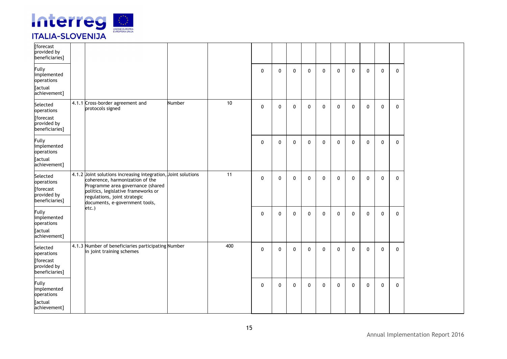

| [forecast<br>provided by<br>beneficiaries]                                 |                                                                                                                                                                                                                                                |        |     |              |              |              |              |              |              |              |              |              |              |
|----------------------------------------------------------------------------|------------------------------------------------------------------------------------------------------------------------------------------------------------------------------------------------------------------------------------------------|--------|-----|--------------|--------------|--------------|--------------|--------------|--------------|--------------|--------------|--------------|--------------|
| <b>Fully</b><br>implemented<br>operations<br>[actual                       |                                                                                                                                                                                                                                                |        |     | $\mathbf 0$  | $\mathbf{0}$ | $\mathbf{0}$ | $\mathbf 0$  | $\mathbf 0$  | $\mathbf{0}$ | $\mathbf 0$  | $\mathbf 0$  | $\mathbf 0$  | $\mathbf 0$  |
| achievement]                                                               |                                                                                                                                                                                                                                                |        |     |              |              |              |              |              |              |              |              |              |              |
| Selected<br>operations<br><b>forecast</b>                                  | 4.1.1 Cross-border agreement and<br>protocols signed                                                                                                                                                                                           | Number | 10  | $\mathbf{0}$ | $\mathbf{0}$ | $\mathbf{0}$ | $\mathbf{0}$ | $\mathbf{0}$ | $\mathbf{0}$ | $\mathbf{0}$ | $\mathbf 0$  | $\mathbf{0}$ | $\mathbf{0}$ |
| provided by<br>beneficiaries]                                              |                                                                                                                                                                                                                                                |        |     |              |              |              |              |              |              |              |              |              |              |
| <b>Fully</b><br>implemented<br>operations<br>[actual<br>achievement]       |                                                                                                                                                                                                                                                |        |     | $\mathbf 0$  | $\mathbf 0$  | $\mathbf{0}$ | $\mathbf 0$  | $\mathbf 0$  | $\mathbf{0}$ | $\mathbf 0$  | $\mathbf 0$  | $\mathbf 0$  | $\mathbf{0}$ |
| Selected<br>operations<br><b>forecast</b><br>provided by<br>beneficiaries] | 4.1.2 Joint solutions increasing integration, Joint solutions<br>coherence, harmonization of the<br>Programme area governance (shared<br>politics, legislative frameworks or<br>regulations, joint strategic<br>documents, e-government tools, |        | 11  | $\mathbf 0$  | $\mathbf 0$  | $\mathbf 0$  | $\mathbf 0$  | $\mathbf 0$  | $\mathbf 0$  | $\mathbf 0$  | $\mathbf 0$  | $\mathbf 0$  | $\mathbf 0$  |
| <b>Fully</b><br>implemented<br>operations<br>[actual<br>achievement]       | etc.)                                                                                                                                                                                                                                          |        |     | $\mathbf 0$  | $\mathbf{0}$ | $\mathbf{0}$ | $\mathbf 0$  | $\mathbf 0$  | 0            | 0            | $\mathbf 0$  | 0            | $\mathbf 0$  |
| Selected<br>operations<br>[forecast<br>provided by                         | 4.1.3 Number of beneficiaries participating Number<br>in joint training schemes                                                                                                                                                                |        | 400 | $\mathbf{0}$ | $\mathbf{0}$ | $\mathbf{0}$ | $\mathbf{0}$ | $\mathbf{0}$ | $\mathbf{0}$ | $\mathbf 0$  | $\mathbf{0}$ | $\mathbf{0}$ | $\mathbf{0}$ |
| beneficiaries]                                                             |                                                                                                                                                                                                                                                |        |     |              |              |              |              |              |              |              |              |              |              |
| <b>Fully</b><br>implemented<br>operations<br>[actual                       |                                                                                                                                                                                                                                                |        |     | $\mathbf{0}$ | $\mathbf{0}$ | $\mathbf{0}$ | $\mathbf{0}$ | $\mathbf{0}$ | $\mathbf{0}$ | $\mathbf 0$  | $\mathbf 0$  | $\mathbf{0}$ | $\mathbf{0}$ |
| achievement]                                                               |                                                                                                                                                                                                                                                |        |     |              |              |              |              |              |              |              |              |              |              |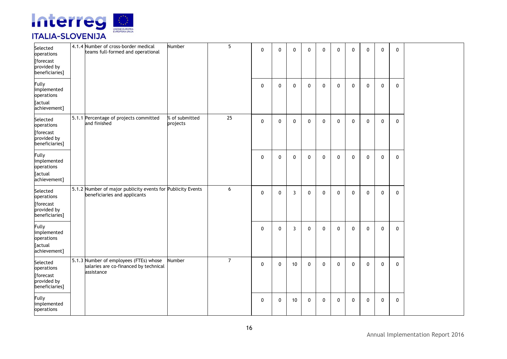

| Selected<br>operations<br>[forecast<br>provided by<br>beneficiaries]       | 4.1.4 Number of cross-border medical<br>teams full-formed and operational                     | Number                     | 5              | $\mathbf 0$ | $\mathbf{0}$ | $\mathbf 0$ | 0            | $\Omega$     | $\mathbf{0}$ | $\mathbf{0}$ | $\mathbf{0}$ | $\mathbf 0$  | 0            |  |
|----------------------------------------------------------------------------|-----------------------------------------------------------------------------------------------|----------------------------|----------------|-------------|--------------|-------------|--------------|--------------|--------------|--------------|--------------|--------------|--------------|--|
| Fully<br>implemented<br>operations<br>[actual<br>achievement]              |                                                                                               |                            |                | $\mathbf 0$ | $\mathbf 0$  | $\mathbf 0$ | $\mathbf{0}$ | $\mathbf{0}$ | 0            | $\mathbf{0}$ | 0            | $\mathbf 0$  | 0            |  |
| Selected<br>operations<br>[forecast<br>provided by<br>beneficiaries]       | 5.1.1 Percentage of projects committed<br>and finished                                        | % of submitted<br>projects | 25             | $\mathbf 0$ | $\mathbf{0}$ | $\mathbf 0$ | $\mathbf{0}$ | $\mathbf{0}$ | $\mathbf{0}$ | $\mathbf{0}$ | $\mathbf{0}$ | $\mathbf{0}$ | 0            |  |
| <b>Fully</b><br>implemented<br>operations<br>[actual<br>achievement]       |                                                                                               |                            |                | $\mathbf 0$ | $\mathbf 0$  | $\mathbf 0$ | $\mathbf 0$  | $\mathbf 0$  | 0            | $\mathbf 0$  | 0            | $\mathbf{0}$ | 0            |  |
| Selected<br>operations<br><b>forecast</b><br>provided by<br>beneficiaries] | 5.1.2 Number of major publicity events for Publicity Events<br>beneficiaries and applicants   |                            | 6              | $\mathbf 0$ | $\mathbf 0$  | 3           | 0            | 0            | 0            | 0            | 0            | $\mathbf 0$  | 0            |  |
| Fully<br>implemented<br>operations<br>[actual<br>achievement]              |                                                                                               |                            |                | $\mathbf 0$ | $\mathbf 0$  | 3           | $\mathbf{0}$ | $\mathbf{0}$ | $\mathbf{0}$ | $\mathbf{0}$ | $\mathbf{0}$ | $\mathbf{0}$ | $\mathbf{0}$ |  |
| Selected<br>operations<br>[forecast<br>provided by<br>beneficiaries]       | 5.1.3 Number of employees (FTEs) whose<br>salaries are co-financed by technical<br>assistance | Number                     | $\overline{7}$ | $\mathbf 0$ | $\mathbf 0$  | 10          | $\mathbf{0}$ | 0            | $\mathbf{0}$ | $\mathbf{0}$ | $\mathbf{0}$ | $\mathbf 0$  | $\mathbf{0}$ |  |
| <b>Fully</b><br>implemented<br>operations                                  |                                                                                               |                            |                | 0           | 0            | 10          | $\mathbf 0$  | $\mathbf 0$  | 0            | 0            | 0            | $\mathbf 0$  | 0            |  |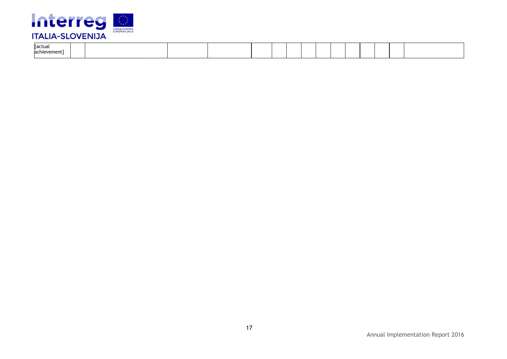

| [actual<br>achievement l |  |  |  |  |  |  |  |  |
|--------------------------|--|--|--|--|--|--|--|--|
|                          |  |  |  |  |  |  |  |  |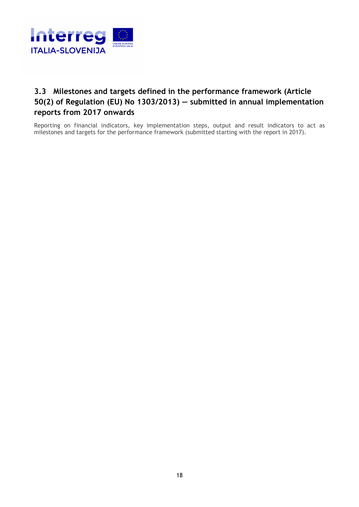

### **3.3 Milestones and targets defined in the performance framework (Article 50(2) of Regulation (EU) No 1303/2013) — submitted in annual implementation reports from 2017 onwards**

Reporting on financial indicators, key implementation steps, output and result indicators to act as milestones and targets for the performance framework (submitted starting with the report in 2017).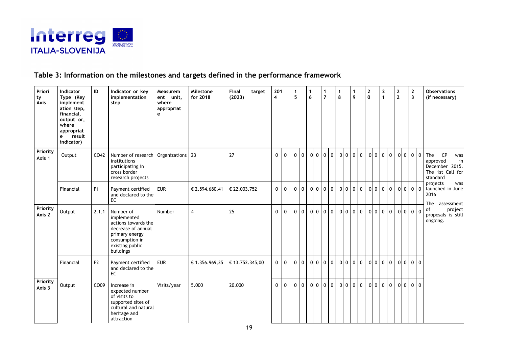

#### **Table 3: Information on the milestones and targets defined in the performance framework**

| Priori<br>ty<br>Axis | <b>Indicator</b><br>Type (Key<br>implement<br>ation step,<br>financial,<br>output or,<br>where<br>appropriat<br>e result<br>indicator) | ID             | Indicator or key<br>implementation<br>step                                                                                                | Measurem<br>ent unit,<br>where<br>appropriat<br>$\mathbf{e}$ | Milestone<br>for 2018 | Final<br>(2023) | target | 201<br>4     |              | -1<br>$5\phantom{a}$ |                | $\mathbf{1}$<br>6 |                | $\mathbf 1$<br>$\overline{7}$ | 1<br>8 |         | 1<br>9 | 2<br>$\mathbf 0$ |                | $\mathbf{2}$<br>$\mathbf{1}$ | $\mathbf 2$<br>$\overline{2}$ | $\boldsymbol{2}$<br>$\overline{\mathbf{3}}$ |                | <b>Observations</b><br>(if necessary)                                                       |
|----------------------|----------------------------------------------------------------------------------------------------------------------------------------|----------------|-------------------------------------------------------------------------------------------------------------------------------------------|--------------------------------------------------------------|-----------------------|-----------------|--------|--------------|--------------|----------------------|----------------|-------------------|----------------|-------------------------------|--------|---------|--------|------------------|----------------|------------------------------|-------------------------------|---------------------------------------------|----------------|---------------------------------------------------------------------------------------------|
| Priority<br>Axis 1   | Output                                                                                                                                 | CO42           | Number of research<br>institutions<br>participating in<br>cross border<br>research projects                                               | Organizations 23                                             |                       | 27              |        | $\mathbf{0}$ | $\mathbf{0}$ | $\Omega$             | $\overline{0}$ |                   |                | 0 0 0 0                       |        | 0000    |        |                  |                | 0 0 0 0                      | 00000                         |                                             |                | <b>CP</b><br>The<br>was<br>approved<br>in<br>December 2015.<br>The 1st Call for<br>standard |
|                      | Financial                                                                                                                              | F <sub>1</sub> | Payment certified<br>and declared to the<br>EC                                                                                            | <b>EUR</b>                                                   | € 2.594.680,41        | € 22.003.752    |        | $\mathbf 0$  | 0            | $\mathbf 0$          | $\overline{0}$ | $\overline{0}$    | 0 <sub>0</sub> | $\overline{0}$                |        | 00000   |        | 0 <sub>0</sub>   |                | 0 <sub>0</sub>               | 0 0 0 0                       |                                             |                | projects<br>was<br>launched in June<br>2016<br>The<br>assessment                            |
| Priority<br>Axis 2   | Output                                                                                                                                 | 2.1.1          | Number of<br>implemented<br>actions towards the<br>decrease of annual<br>primary energy<br>consumption in<br>existing public<br>buildings | Number                                                       | $\overline{4}$        | 25              |        | $\Omega$     | $\mathbf 0$  | $\mathbf{0}$         | $\overline{0}$ |                   | 0000           | $\overline{0}$                |        | 0 0 0 0 |        |                  | 0 <sub>0</sub> | 0 <sub>0</sub>               | 0 0 0 0                       |                                             |                | of<br>project<br>proposals is still<br>ongoing.                                             |
|                      | Financial                                                                                                                              | F2             | Payment certified<br>and declared to the<br><b>EC</b>                                                                                     | <b>EUR</b>                                                   | € 1.356.969,35        | € 13.752.345,00 |        | $\mathbf{0}$ | $\mathbf{0}$ | $\overline{0}$       | $\overline{0}$ | $\overline{0}$    | $0$ 0          | $\overline{0}$                |        | 00000   |        |                  | 0 <sub>0</sub> | 0 <sub>0</sub>               | 0 <sub>0</sub>                |                                             | 0 <sub>0</sub> |                                                                                             |
| Priority<br>Axis 3   | Output                                                                                                                                 | CO09           | Increase in<br>expected number<br>of visits to<br>supported sites of<br>cultural and natural<br>heritage and<br>attraction                | Visits/year                                                  | 5.000                 | 20.000          |        | $\Omega$     | $\mathbf{0}$ | $\mathbf{0}$         | $\overline{0}$ |                   | $0\ 0\ 0$      | $\overline{0}$                |        | 0000    |        |                  | 0 <sub>0</sub> | 0 <sub>0</sub>               | 0 0 0 0                       |                                             |                |                                                                                             |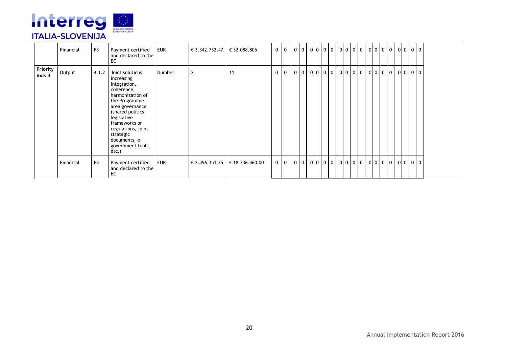

|                    | Financial | F <sub>3</sub> | Payment certified<br>and declared to the<br>EC                                                                                                                                                                                                             | EUR    | $\in$ 3.342.732,47 $\in$ 32.088.805 |                                      | $0 \quad 0$ |   | $0$ 0 | 0 0 0 0 |  | 0 0 0 0 0 0 0 0 0 |  |                   |                |             | 00000 |  |
|--------------------|-----------|----------------|------------------------------------------------------------------------------------------------------------------------------------------------------------------------------------------------------------------------------------------------------------|--------|-------------------------------------|--------------------------------------|-------------|---|-------|---------|--|-------------------|--|-------------------|----------------|-------------|-------|--|
| Priority<br>Axis 4 | Output    | 4.1.2          | Joint solutions<br>increasing<br>integration,<br>coherence,<br>harmonization of<br>the Programme<br>area governance<br>(shared politics,<br>legislative<br>frameworks or<br>regulations, joint<br>strategic<br>documents, e-<br>government tools,<br>etc.) | Number | $\overline{2}$                      | 11                                   | 0           | 0 | 0 0   | 0 0 0 0 |  | $0000$            |  | $0 \ 0 \ 0$       | $\overline{0}$ | $0$ 0 0 0 0 |       |  |
|                    | Financial | F <sub>4</sub> | Payment certified<br>and declared to the<br>EC                                                                                                                                                                                                             | EUR    |                                     | $\in$ 2.456.351,35   € 18.336.460,00 | $0 \mid 0$  |   | 0 0   | 0 0 0 0 |  | $0$ 0 0 0         |  | $0 \mid 0 \mid 0$ | $\overline{0}$ | $0$ 0 0 0 0 |       |  |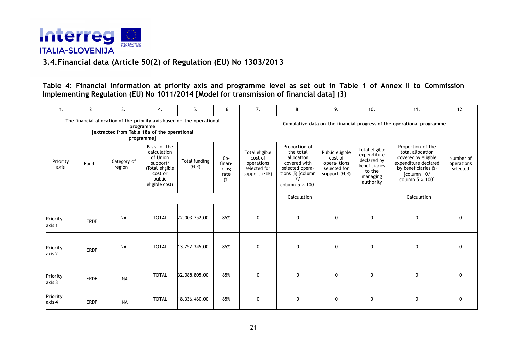

#### **3.4.Financial data (Article 50(2) of Regulation (EU) No 1303/2013**

**Table 4: Financial information at priority axis and programme level as set out in Table 1 of Annex II to Commission Implementing Regulation (EU) No 1011/2014 [Model for transmission of financial data] (3)** 

| 1.                 | $\overline{2}$ | 3.                                                                                                                     | 4.                                                                                                             | 5.                     | 6                                    | 7.                                                                       | 8.                                                                                                                                | 9.                                                                         | 10.                                                                                              | 11.                                                                                                                                                    | 12.                                 |
|--------------------|----------------|------------------------------------------------------------------------------------------------------------------------|----------------------------------------------------------------------------------------------------------------|------------------------|--------------------------------------|--------------------------------------------------------------------------|-----------------------------------------------------------------------------------------------------------------------------------|----------------------------------------------------------------------------|--------------------------------------------------------------------------------------------------|--------------------------------------------------------------------------------------------------------------------------------------------------------|-------------------------------------|
|                    |                | The financial allocation of the priority axis based on the operational<br>[extracted from Table 18a of the operational | programme<br>programme]                                                                                        |                        |                                      |                                                                          |                                                                                                                                   |                                                                            |                                                                                                  | Cumulative data on the financial progress of the operational programme                                                                                 |                                     |
| Priority<br>axis   | Fund           | Category of<br>region                                                                                                  | Basis for the<br>calculation<br>of Union<br>support*<br>(Total eligible<br>cost or<br>public<br>eligible cost) | Total funding<br>(EUR) | Co-<br>finan-<br>cing<br>rate<br>(%) | Total eligible<br>cost of<br>operations<br>selected for<br>support (EUR) | Proportion of<br>the total<br>allocation<br>covered with<br>selected opera-<br>tions (%) [column<br>71<br>column $5 \times 100$ ] | Public eligible<br>cost of<br>opera-tions<br>selected for<br>support (EUR) | Total eligible<br>expenditure<br>declared by<br>beneficiaries<br>to the<br>managing<br>authority | Proportion of the<br>total allocation<br>covered by eligible<br>expenditure declared<br>by beneficiaries (%)<br>[column 10/<br>column $5 \times 100$ ] | Number of<br>operations<br>selected |
|                    |                |                                                                                                                        |                                                                                                                |                        |                                      |                                                                          | Calculation                                                                                                                       |                                                                            |                                                                                                  | Calculation                                                                                                                                            |                                     |
| Priority<br>axis 1 | <b>ERDF</b>    | <b>NA</b>                                                                                                              | <b>TOTAL</b>                                                                                                   | 22.003.752,00          | 85%                                  | $\mathbf 0$                                                              | $\mathbf 0$                                                                                                                       | 0                                                                          | 0                                                                                                | 0                                                                                                                                                      | 0                                   |
| Priority<br>axis 2 | <b>ERDF</b>    | <b>NA</b>                                                                                                              | <b>TOTAL</b>                                                                                                   | 13.752.345,00          | 85%                                  | $\mathbf 0$                                                              | $\mathbf 0$                                                                                                                       | $\mathbf 0$                                                                | $\mathbf 0$                                                                                      | 0                                                                                                                                                      | $\mathbf{0}$                        |
| Priority<br>axis 3 | <b>ERDF</b>    | <b>NA</b>                                                                                                              | <b>TOTAL</b>                                                                                                   | 32.088.805,00          | 85%                                  | $\mathbf{0}$                                                             | $\Omega$                                                                                                                          | 0                                                                          | 0                                                                                                | 0                                                                                                                                                      | $\Omega$                            |
| Priority<br>axis 4 | <b>ERDF</b>    | <b>NA</b>                                                                                                              | <b>TOTAL</b>                                                                                                   | 18.336.460,00          | 85%                                  | $\mathbf{0}$                                                             | $\mathbf 0$                                                                                                                       | $\mathbf 0$                                                                | $\mathbf 0$                                                                                      | 0                                                                                                                                                      | $\mathbf 0$                         |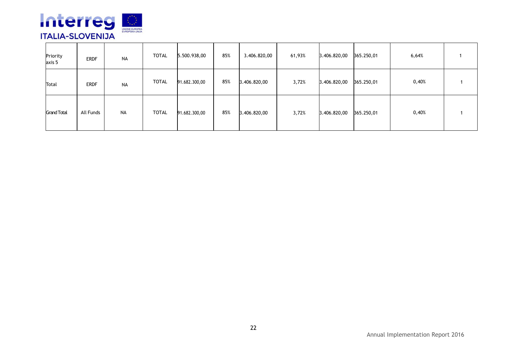

| Priority<br>axis 5 | <b>ERDF</b> | NA | <b>TOTAL</b> | 5.500.938,00  | 85% | 3.406.820,00 | 61,93% | 3.406.820,00 | 365.250,01 | 6,64% |  |
|--------------------|-------------|----|--------------|---------------|-----|--------------|--------|--------------|------------|-------|--|
| Total              | <b>ERDF</b> | NA | <b>TOTAL</b> | 91.682.300,00 | 85% | 3.406.820,00 | 3,72%  | 3.406.820,00 | 365.250,01 | 0,40% |  |
| <b>Grand Total</b> | All Funds   | NA | <b>TOTAL</b> | 91.682.300,00 | 85% | 3.406.820,00 | 3,72%  | 3.406.820,00 | 365.250,01 | 0,40% |  |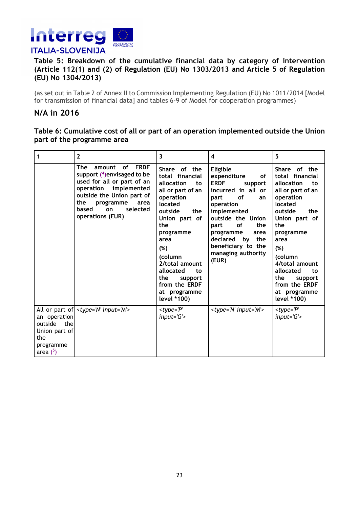

#### **Table 5: Breakdown of the cumulative financial data by category of intervention (Article 112(1) and (2) of Regulation (EU) No 1303/2013 and Article 5 of Regulation (EU) No 1304/2013)**

(as set out in Table 2 of Annex II to Commission Implementing Regulation (EU) No 1011/2014 [Model for transmission of financial data] and tables 6-9 of Model for cooperation programmes)

#### **N/A in 2016**

#### **Table 6: Cumulative cost of all or part of an operation implemented outside the Union part of the programme area**

| 1                                                                              | $\overline{2}$                                                                                                                                                                                                           | 3                                                                                                                                                                                                                                                                                        | 4                                                                                                                                                                                                                                                                                        | 5                                                                                                                                                                                                                                                                                        |
|--------------------------------------------------------------------------------|--------------------------------------------------------------------------------------------------------------------------------------------------------------------------------------------------------------------------|------------------------------------------------------------------------------------------------------------------------------------------------------------------------------------------------------------------------------------------------------------------------------------------|------------------------------------------------------------------------------------------------------------------------------------------------------------------------------------------------------------------------------------------------------------------------------------------|------------------------------------------------------------------------------------------------------------------------------------------------------------------------------------------------------------------------------------------------------------------------------------------|
|                                                                                | The<br>of ERDF<br>amount<br>support $(4)$ envisaged to be<br>used for all or part of an<br>operation implemented<br>outside the Union part of<br>the<br>programme<br>area<br>based<br>selected<br>on<br>operations (EUR) | Share of the<br>total financial<br>allocation<br>to<br>all or part of an<br>operation<br>located<br>outside<br>the<br>Union part of<br>the<br>programme<br>area<br>(%)<br>(column<br>2/total amount<br>allocated<br>to<br>the<br>support<br>from the ERDF<br>at programme<br>level *100) | Eligible<br>expenditure<br>of<br><b>ERDF</b><br>support<br>incurred in all or<br><b>of</b><br>part<br>an<br>operation<br>implemented<br>outside the Union<br><b>of</b><br>the<br>part<br>programme<br>area<br>declared<br>the<br>by<br>beneficiary to the<br>managing authority<br>(EUR) | Share of the<br>total financial<br>allocation<br>to<br>all or part of an<br>operation<br>located<br>outside<br>the<br>Union part of<br>the<br>programme<br>area<br>(%)<br>(column<br>4/total amount<br>allocated<br>to<br>the<br>support<br>from the ERDF<br>at programme<br>level *100) |
| an operation<br>outside the<br>Union part of<br>the<br>programme<br>area $(5)$ | All or part of   <type='n' input="M"></type='n'>                                                                                                                                                                         | $< type = 'P'$<br>$input = 'G'$                                                                                                                                                                                                                                                          | <type='n' input="M"></type='n'>                                                                                                                                                                                                                                                          | $< type = 'P'$<br>$input = 'G'$                                                                                                                                                                                                                                                          |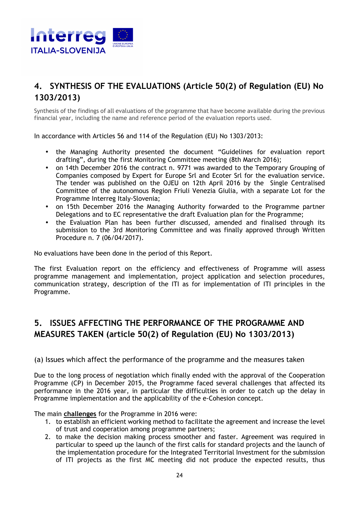

## **4. SYNTHESIS OF THE EVALUATIONS (Article 50(2) of Regulation (EU) No 1303/2013)**

Synthesis of the findings of all evaluations of the programme that have become available during the previous financial year, including the name and reference period of the evaluation reports used.

In accordance with Articles 56 and 114 of the Regulation (EU) No 1303/2013:

- the Managing Authority presented the document "Guidelines for evaluation report drafting", during the first Monitoring Committee meeting (8th March 2016);
- on 14th December 2016 the contract n. 9771 was awarded to the Temporary Grouping of Companies composed by Expert for Europe Srl and Ecoter Srl for the evaluation service. The tender was published on the OJEU on 12th April 2016 by the Single Centralised Committee of the autonomous Region Friuli Venezia Giulia, with a separate Lot for the Programme Interreg Italy-Slovenia;
- on 15th December 2016 the Managing Authority forwarded to the Programme partner Delegations and to EC representative the draft Evaluation plan for the Programme;
- the Evaluation Plan has been further discussed, amended and finalised through its submission to the 3rd Monitoring Committee and was finally approved through Written Procedure n. 7 (06/04/2017).

No evaluations have been done in the period of this Report.

The first Evaluation report on the efficiency and effectiveness of Programme will assess programme management and implementation, project application and selection procedures, communication strategy, description of the ITI as for implementation of ITI principles in the Programme.

## **5. ISSUES AFFECTING THE PERFORMANCE OF THE PROGRAMME AND MEASURES TAKEN (article 50(2) of Regulation (EU) No 1303/2013)**

(a) Issues which affect the performance of the programme and the measures taken

Due to the long process of negotiation which finally ended with the approval of the Cooperation Programme (CP) in December 2015, the Programme faced several challenges that affected its performance in the 2016 year, in particular the difficulties in order to catch up the delay in Programme implementation and the applicability of the e-Cohesion concept.

The main **challenges** for the Programme in 2016 were:

- 1. to establish an efficient working method to facilitate the agreement and increase the level of trust and cooperation among programme partners;
- 2. to make the decision making process smoother and faster. Agreement was required in particular to speed up the launch of the first calls for standard projects and the launch of the implementation procedure for the Integrated Territorial Investment for the submission of ITI projects as the first MC meeting did not produce the expected results, thus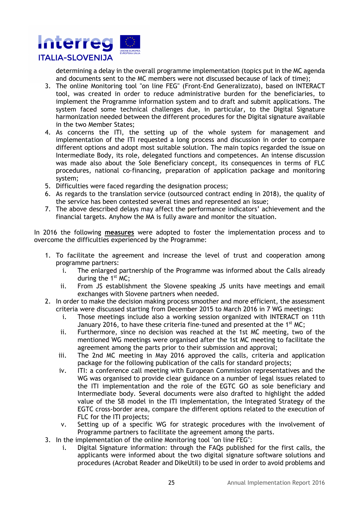

determining a delay in the overall programme implementation (topics put in the MC agenda and documents sent to the MC members were not discussed because of lack of time);

- 3. The online Monitoring tool "on line FEG" (Front-End Generalizzato), based on INTERACT tool, was created in order to reduce administrative burden for the beneficiaries, to implement the Programme information system and to draft and submit applications. The system faced some technical challenges due, in particular, to the Digital Signature harmonization needed between the different procedures for the Digital signature available in the two Member States;
- 4. As concerns the ITI, the setting up of the whole system for management and implementation of the ITI requested a long process and discussion in order to compare different options and adopt most suitable solution. The main topics regarded the issue on Intermediate Body, its role, delegated functions and competences. An intense discussion was made also about the Sole Beneficiary concept, its consequences in terms of FLC procedures, national co-financing, preparation of application package and monitoring system;
- 5. Difficulties were faced regarding the designation process;
- 6. As regards to the translation service (outsourced contract ending in 2018), the quality of the service has been contested several times and represented an issue;
- 7. The above described delays may affect the performance indicators' achievement and the financial targets. Anyhow the MA is fully aware and monitor the situation.

In 2016 the following **measures** were adopted to foster the implementation process and to overcome the difficulties experienced by the Programme:

- 1. To facilitate the agreement and increase the level of trust and cooperation among programme partners:
	- i. The enlarged partnership of the Programme was informed about the Calls already during the  $1<sup>st</sup>$  MC;
	- ii. From JS establishment the Slovene speaking JS units have meetings and email exchanges with Slovene partners when needed.
- 2. In order to make the decision making process smoother and more efficient, the assessment criteria were discussed starting from December 2015 to March 2016 in 7 WG meetings:
	- i. Those meetings include also a working session organized with INTERACT on 11th January 2016, to have these criteria fine-tuned and presented at the 1st MC;
	- ii. Furthermore, since no decision was reached at the 1st MC meeting, two of the mentioned WG meetings were organised after the 1st MC meeting to facilitate the agreement among the parts prior to their submission and approval;
	- iii. The 2nd MC meeting in May 2016 approved the calls, criteria and application package for the following publication of the calls for standard projects;
	- iv. ITI: a conference call meeting with European Commission representatives and the WG was organised to provide clear guidance on a number of legal issues related to the ITI implementation and the role of the EGTC GO as sole beneficiary and Intermediate body. Several documents were also drafted to highlight the added value of the SB model in the ITI implementation, the Integrated Strategy of the EGTC cross-border area, compare the different options related to the execution of FLC for the ITI projects;
	- v. Setting up of a specific WG for strategic procedures with the involvement of Programme partners to facilitate the agreement among the parts.
- 3. In the implementation of the online Monitoring tool "on line FEG":
	- i. Digital Signature information: through the FAQs published for the first calls, the applicants were informed about the two digital signature software solutions and procedures (Acrobat Reader and DikeUtil) to be used in order to avoid problems and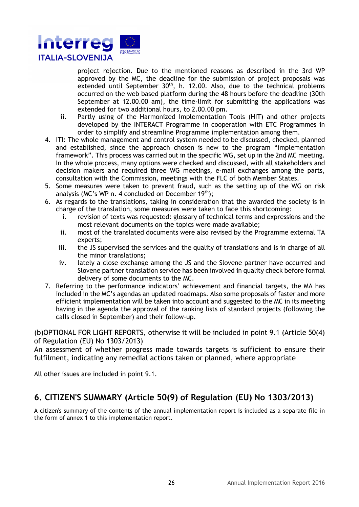

project rejection. Due to the mentioned reasons as described in the 3rd WP approved by the MC, the deadline for the submission of project proposals was extended until September  $30<sup>th</sup>$ , h. 12.00. Also, due to the technical problems occurred on the web based platform during the 48 hours before the deadline (30th September at 12.00.00 am), the time-limit for submitting the applications was extended for two additional hours, to 2.00.00 pm.

- ii. Partly using of the Harmonized Implementation Tools (HIT) and other projects developed by the INTERACT Programme in cooperation with ETC Programmes in order to simplify and streamline Programme implementation among them.
- 4. ITI: The whole management and control system needed to be discussed, checked, planned and established, since the approach chosen is new to the program "implementation framework". This process was carried out in the specific WG, set up in the 2nd MC meeting. In the whole process, many options were checked and discussed, with all stakeholders and decision makers and required three WG meetings, e-mail exchanges among the parts, consultation with the Commission, meetings with the FLC of both Member States.
- 5. Some measures were taken to prevent fraud, such as the setting up of the WG on risk analysis (MC's WP n. 4 concluded on December  $19<sup>th</sup>$ );
- 6. As regards to the translations, taking in consideration that the awarded the society is in charge of the translation, some measures were taken to face this shortcoming:
	- i. revision of texts was requested: glossary of technical terms and expressions and the most relevant documents on the topics were made available;
	- ii. most of the translated documents were also revised by the Programme external TA experts;
	- iii. the JS supervised the services and the quality of translations and is in charge of all the minor translations;
	- iv. lately a close exchange among the JS and the Slovene partner have occurred and Slovene partner translation service has been involved in quality check before formal delivery of some documents to the MC.
- 7. Referring to the performance indicators' achievement and financial targets, the MA has included in the MC's agendas an updated roadmaps. Also some proposals of faster and more efficient implementation will be taken into account and suggested to the MC in its meeting having in the agenda the approval of the ranking lists of standard projects (following the calls closed in September) and their follow-up.

(b)OPTIONAL FOR LIGHT REPORTS, otherwise it will be included in point 9.1 (Article 50(4) of Regulation (EU) No 1303/2013)

An assessment of whether progress made towards targets is sufficient to ensure their fulfilment, indicating any remedial actions taken or planned, where appropriate

All other issues are included in point 9.1.

## **6. CITIZEN'S SUMMARY (Article 50(9) of Regulation (EU) No 1303/2013)**

A citizen's summary of the contents of the annual implementation report is included as a separate file in the form of annex 1 to this implementation report.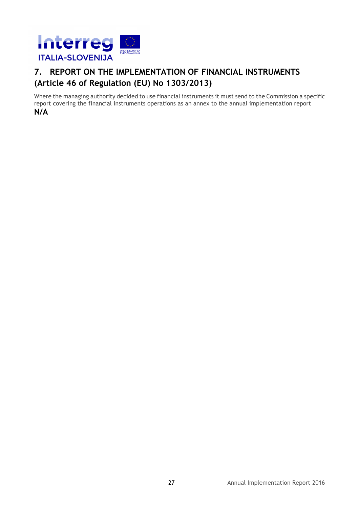

## **7. REPORT ON THE IMPLEMENTATION OF FINANCIAL INSTRUMENTS (Article 46 of Regulation (EU) No 1303/2013)**

Where the managing authority decided to use financial instruments it must send to the Commission a specific report covering the financial instruments operations as an annex to the annual implementation report **N/A**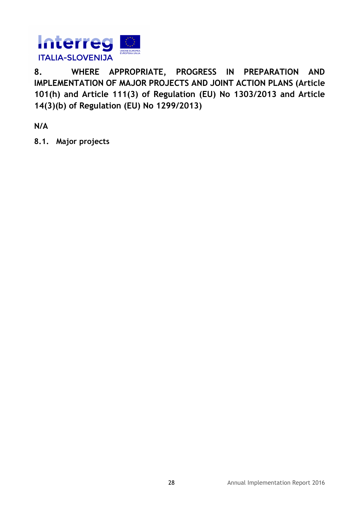

**8. WHERE APPROPRIATE, PROGRESS IN PREPARATION AND IMPLEMENTATION OF MAJOR PROJECTS AND JOINT ACTION PLANS (Article 101(h) and Article 111(3) of Regulation (EU) No 1303/2013 and Article 14(3)(b) of Regulation (EU) No 1299/2013)** 

**N/A** 

**8.1. Major projects**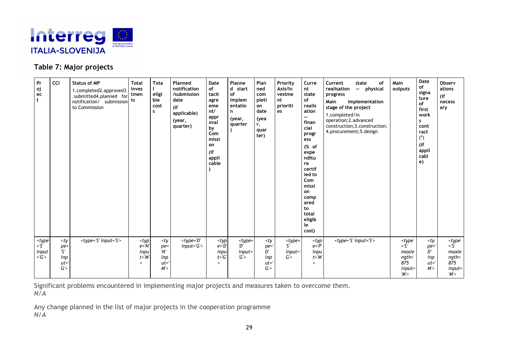

#### **Table 7: Major projects**

| Pr<br>oj<br>ec<br>t                                                     | <b>CCI</b>                                     | <b>Status of MP</b><br>1.completed2.approved3<br>.submitted4.planned for<br>notification/ submission<br>to Commission | <b>Total</b><br>inves<br>tmen<br>ts                                                         | <b>Tota</b><br>eligi<br>ble<br>cost<br>s                                        | Planned<br>notification<br>/submission<br>date<br>(i)<br>applicable)<br>(year,<br>quarter) | Date<br>of<br>tacit<br>agre<br>eme<br>nt/<br>appr<br>oval<br>by<br>Com<br>missi<br>on<br>(if<br>appli<br>cable | Planne<br>d start<br>of<br>implem<br>entatio<br>n<br>(year,<br>quarter | Plan<br>ned<br>com<br>pleti<br>on<br>date<br>(yea<br>r.<br>quar<br>ter)          | Priority<br>Axis/In<br>vestme<br>nt<br>prioriti<br>es | Curre<br>nt<br>state<br>of<br>realis<br>ation<br>$\overline{\phantom{0}}$<br>finan<br>cial<br>progr<br>ess<br>(% of<br>expe<br>nditu<br>re<br>certif<br>ied to<br>Com<br>missi<br>on<br>comp<br>ared<br>to<br>total<br>eligib<br>le<br>cost) | Current<br>state<br>0f<br>realisation<br>- physical<br>progress<br>Main<br>implementation<br>stage of the project<br>1.completed/in<br>operation; 2. advanced<br>construction; 3. construction;<br>4.procurement;5.design | Main<br>outputs                                                                                                | Date<br>$\mathsf{of}$<br>signa<br>ture<br>of<br>first<br>work<br>s<br>cont<br>ract<br>$6$<br>(if<br>appli<br>cabl<br>e) | Observ<br>ations<br>(if<br>necess<br>ary                                                                                    |
|-------------------------------------------------------------------------|------------------------------------------------|-----------------------------------------------------------------------------------------------------------------------|---------------------------------------------------------------------------------------------|---------------------------------------------------------------------------------|--------------------------------------------------------------------------------------------|----------------------------------------------------------------------------------------------------------------|------------------------------------------------------------------------|----------------------------------------------------------------------------------|-------------------------------------------------------|----------------------------------------------------------------------------------------------------------------------------------------------------------------------------------------------------------------------------------------------|---------------------------------------------------------------------------------------------------------------------------------------------------------------------------------------------------------------------------|----------------------------------------------------------------------------------------------------------------|-------------------------------------------------------------------------------------------------------------------------|-----------------------------------------------------------------------------------------------------------------------------|
| <type<br><math>=5'</math><br/>input<br/><math>=</math>'G'&gt;</type<br> | $<$ ty<br>$pe =$<br>'Σ'<br>inp<br>$ut =$<br>G' | $<$ type='S' input='S'>                                                                                               | <typ<br><math>e = 'N'</math><br/>inpu<br/><math>t = M</math><br/><math>\geq</math></typ<br> | <ty<br><math>pe =</math><br/>'Nʻ<br/>inp<br/><math>ut = '</math><br/>M'</ty<br> | $<$ type='D'<br>$input = 'G'$                                                              | <typ<br><math>e = 'D'</math><br/>inpu<br/><math>t = 'G'</math><br/><math>\geq</math></typ<br>                  | $<$ type=<br>מ'<br>$input =$<br>G'                                     | <ty<br><math>pe = '</math><br/>D'<br/>inp<br/><math>ut = '</math><br/>G'</ty<br> | $<$ type=<br>'ና'<br>$input =$<br>G'                   | <typ<br><math>e = P'</math><br/>inpu<br/><math>t = 'M'</math><br/><math>\geq</math></typ<br>                                                                                                                                                 | $<$ type='S' input='S'>                                                                                                                                                                                                   | <type<br><math>=</math>'S'<br/>maxle<br/><math>ngth=</math><br/>875<br/><math>input =</math><br/>'M'</type<br> | <ty<br><math>pe =</math><br/>D'<br/>inp<br/><math>ut =</math><br/>M'</ty<br>                                            | <type<br><math>=\overline{S}</math><br/>maxle<br/><math>ngth=</math><br/>875<br/><math>input =</math><br/>'M'&gt;</type<br> |

Significant problems encountered in implementing major projects and measures taken to overcome them. *N/A*

Any change planned in the list of major projects in the cooperation programme *N/A*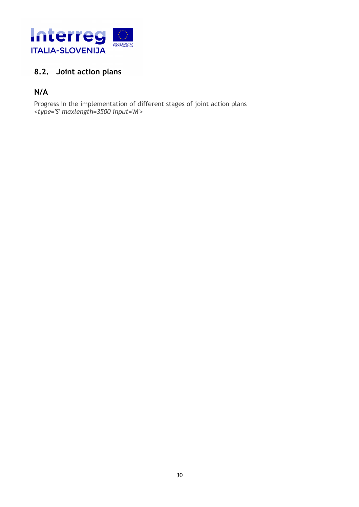

## **8.2. Joint action plans**

### **N/A**

Progress in the implementation of different stages of joint action plans *<type='S' maxlength=3500 input='M'>*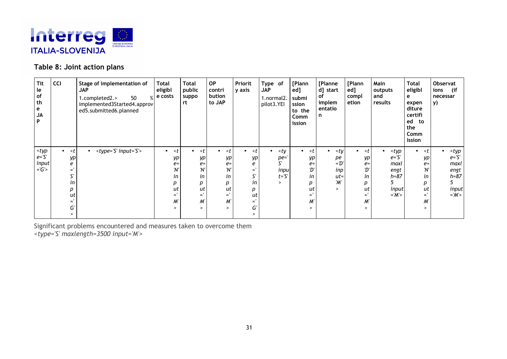

#### **Table 8: Joint action plans**

| Tit<br>le<br>of<br>th<br>e<br><b>JA</b><br>P                         | <b>CCI</b>                                                                                  | Stage of implementation of<br><b>JAP</b><br>50<br>1.completed2.><br>$\sqrt{0}$<br>implemented3Started4.approv<br>ed5.submitted6.planned | <b>Total</b><br>eligibl<br>e costs                                                                                                       | <b>Total</b><br>public<br>suppo<br>rt                                                                                                     | <b>OP</b><br>contri<br>bution<br>to JAP                                                                                                   | Priorit<br>y axis                                                                                                     | Type of<br><b>JAP</b><br>1.normal2.<br>pilot3.YEI                                 | [Plann<br>ed]<br>submi<br>ssion<br>to the<br>Comm<br>ission                                                                               | [Planne<br>d] start<br>оf<br>implem<br>entatio<br>n           | [Plann<br>ed]<br>compl<br>etion                                                                                  | Main<br>outputs<br>and<br>results                                                                                    | Total<br>eligibl<br>е<br>expen<br>diture<br>certifi<br>ed<br>to<br>the<br>Comm<br>ission                                                  | Observat<br>ions<br>(if<br>necessar<br>y)                                                                      |
|----------------------------------------------------------------------|---------------------------------------------------------------------------------------------|-----------------------------------------------------------------------------------------------------------------------------------------|------------------------------------------------------------------------------------------------------------------------------------------|-------------------------------------------------------------------------------------------------------------------------------------------|-------------------------------------------------------------------------------------------------------------------------------------------|-----------------------------------------------------------------------------------------------------------------------|-----------------------------------------------------------------------------------|-------------------------------------------------------------------------------------------------------------------------------------------|---------------------------------------------------------------|------------------------------------------------------------------------------------------------------------------|----------------------------------------------------------------------------------------------------------------------|-------------------------------------------------------------------------------------------------------------------------------------------|----------------------------------------------------------------------------------------------------------------|
| <typ<br><math>e = S'</math><br/>input<br/><math>= G'</math></typ<br> | <t<br>уp<br/>е<br/>Ξ'<br/>S'<br/>in<br/>р<br/>ut<br/><math>=</math>'<br/>G'<br/>&gt;</t<br> | <type='s' input="S"><br/><math display="inline">\bullet</math></type='s'>                                                               | <t<br><math>\bullet</math><br/>уp<br/><math>e=</math><br/>'N'<br/>in<br/>р<br/>ut<br/><math>=</math><br/>W,<br/><math>\geq</math></t<br> | <t<br><math>\bullet</math><br/>уp<br/><math>e=</math><br/>'Nʻ<br/>in<br/>р<br/>ut<br/><math>=</math>'<br/>M'<br/><math>\geq</math></t<br> | <t<br><math>\bullet</math><br/>уp<br/><math>e=</math><br/>'N'<br/>in<br/>р<br/>ut<br/><math>=</math>'<br/>M'<br/><math>\geq</math></t<br> | <t<br>уp<br/>е<br/><math>=</math>'<br/>ς.<br/>in<br/>р<br/>ut<br/><math>=</math>'<br/>G'<br/><math>\geq</math></t<br> | <ty<br>pe='<br/>N.<br/>inpu<br/><math>t = S'</math><br/><math>\geq</math></ty<br> | <t<br><math>\bullet</math><br/>уp<br/><math>e=</math><br/>'D'<br/>in<br/>р<br/>ut<br/><math>=</math>'<br/>M'<br/><math>\geq</math></t<br> | $<$ ty<br>рe<br>$=D'$<br>inp<br>$ut =$<br>'M'<br>$\mathbf{v}$ | <t<br>уp<br/><math>e=</math><br/>'D'<br/>in<br/>р<br/>ut<br/><math>=</math>'<br/>M'<br/><math>\geq</math></t<br> | <typ<br><math>e = 'S'</math><br/>maxl<br/>engt<br/><math>h = 87</math><br/>5<br/>input<br/><math>=M'</math></typ<br> | <t<br><math>\bullet</math><br/>уp<br/><math>e=</math><br/>'N'<br/>in<br/>р<br/>ut<br/><math>=</math>'<br/>W,<br/><math>\geq</math></t<br> | <typ<br><math>e = 'S'</math><br/>maxl<br/>engt<br/><math>h = 87</math><br/>input<br/><math>=M'</math></typ<br> |

Significant problems encountered and measures taken to overcome them *<type='S' maxlength=3500 input='M'>*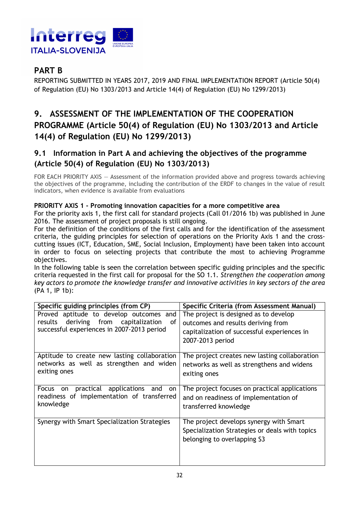

## **PART B**

REPORTING SUBMITTED IN YEARS 2017, 2019 AND FINAL IMPLEMENTATION REPORT (Article 50(4) of Regulation (EU) No 1303/2013 and Article 14(4) of Regulation (EU) No 1299/2013)

## **9. ASSESSMENT OF THE IMPLEMENTATION OF THE COOPERATION PROGRAMME (Article 50(4) of Regulation (EU) No 1303/2013 and Article 14(4) of Regulation (EU) No 1299/2013)**

#### **9.1 Information in Part A and achieving the objectives of the programme (Article 50(4) of Regulation (EU) No 1303/2013)**

FOR EACH PRIORITY AXIS — Assessment of the information provided above and progress towards achieving the objectives of the programme, including the contribution of the ERDF to changes in the value of result indicators, when evidence is available from evaluations

#### **PRIORITY AXIS 1 - Promoting innovation capacities for a more competitive area**

For the priority axis 1, the first call for standard projects (Call 01/2016 1b) was published in June 2016. The assessment of project proposals is still ongoing.

For the definition of the conditions of the first calls and for the identification of the assessment criteria, the guiding principles for selection of operations on the Priority Axis 1 and the crosscutting issues (ICT, Education, SME, Social Inclusion, Employment) have been taken into account in order to focus on selecting projects that contribute the most to achieving Programme objectives.

In the following table is seen the correlation between specific guiding principles and the specific criteria requested in the first call for proposal for the SO 1.1. *Strengthen the cooperation among key actors to promote the knowledge transfer and innovative activities in key sectors of the area* (PA 1, IP 1b):

| Specific guiding principles (from CP)                                                                                               | Specific Criteria (from Assessment Manual)                                                                                                     |
|-------------------------------------------------------------------------------------------------------------------------------------|------------------------------------------------------------------------------------------------------------------------------------------------|
| Proved aptitude to develop outcomes and<br>results deriving from capitalization<br>of<br>successful experiences in 2007-2013 period | The project is designed as to develop<br>outcomes and results deriving from<br>capitalization of successful experiences in<br>2007-2013 period |
| Aptitude to create new lasting collaboration<br>networks as well as strengthen and widen<br>exiting ones                            | The project creates new lasting collaboration<br>networks as well as strengthens and widens<br>exiting ones                                    |
| practical applications<br>Focus<br>and<br>on<br>on<br>readiness of implementation of transferred<br>knowledge                       | The project focuses on practical applications<br>and on readiness of implementation of<br>transferred knowledge                                |
| Synergy with Smart Specialization Strategies                                                                                        | The project develops synergy with Smart<br>Specialization Strategies or deals with topics<br>belonging to overlapping S3                       |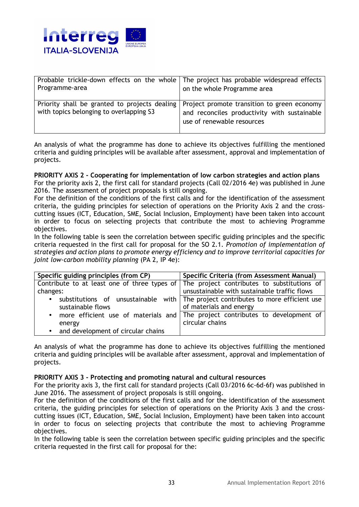

| Programme-area                                                                           | Probable trickle-down effects on the whole   The project has probable widespread effects  <br>on the whole Programme area |
|------------------------------------------------------------------------------------------|---------------------------------------------------------------------------------------------------------------------------|
| Priority shall be granted to projects dealing<br>with topics belonging to overlapping S3 | Project promote transition to green economy<br>and reconciles productivity with sustainable<br>use of renewable resources |

An analysis of what the programme has done to achieve its objectives fulfilling the mentioned criteria and guiding principles will be available after assessment, approval and implementation of projects.

#### **PRIORITY AXIS 2 - Cooperating for implementation of low carbon strategies and action plans**

For the priority axis 2, the first call for standard projects (Call 02/2016 4e) was published in June 2016. The assessment of project proposals is still ongoing.

For the definition of the conditions of the first calls and for the identification of the assessment criteria, the guiding principles for selection of operations on the Priority Axis 2 and the crosscutting issues (ICT, Education, SME, Social Inclusion, Employment) have been taken into account in order to focus on selecting projects that contribute the most to achieving Programme objectives.

In the following table is seen the correlation between specific guiding principles and the specific criteria requested in the first call for proposal for the SO 2.1. *Promotion of implementation of strategies and action plans to promote energy efficiency and to improve territorial capacities for joint low-carbon mobility planning* (PA 2, IP 4e):

| Specific guiding principles (from CP)                                                    | Specific Criteria (from Assessment Manual)                                            |
|------------------------------------------------------------------------------------------|---------------------------------------------------------------------------------------|
| Contribute to at least one of three types of The project contributes to substitutions of |                                                                                       |
| changes:                                                                                 | unsustainable with sustainable traffic flows                                          |
|                                                                                          | • substitutions of unsustainable with   The project contributes to more efficient use |
| sustainable flows                                                                        | of materials and energy                                                               |
|                                                                                          | • more efficient use of materials and   The project contributes to development of     |
| energy                                                                                   | circular chains                                                                       |
| • and development of circular chains                                                     |                                                                                       |

An analysis of what the programme has done to achieve its objectives fulfilling the mentioned criteria and guiding principles will be available after assessment, approval and implementation of projects.

#### **PRIORITY AXIS 3 - Protecting and promoting natural and cultural resources**

For the priority axis 3, the first call for standard projects (Call 03/2016 6c-6d-6f) was published in June 2016. The assessment of project proposals is still ongoing.

For the definition of the conditions of the first calls and for the identification of the assessment criteria, the guiding principles for selection of operations on the Priority Axis 3 and the crosscutting issues (ICT, Education, SME, Social Inclusion, Employment) have been taken into account in order to focus on selecting projects that contribute the most to achieving Programme objectives.

In the following table is seen the correlation between specific guiding principles and the specific criteria requested in the first call for proposal for the: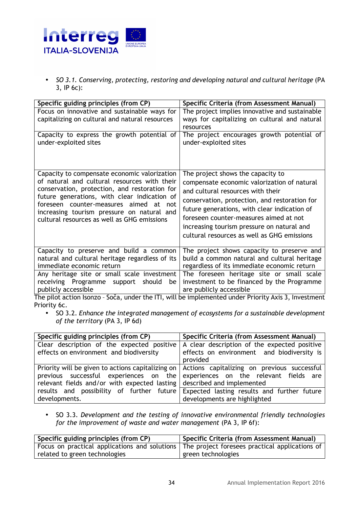

• *SO 3.1. Conserving, protecting, restoring and developing natural and cultural heritage* (PA 3, IP 6c):

| Specific guiding principles (from CP)                                                                                                                                                                                                                                                | Specific Criteria (from Assessment Manual)                                                           |
|--------------------------------------------------------------------------------------------------------------------------------------------------------------------------------------------------------------------------------------------------------------------------------------|------------------------------------------------------------------------------------------------------|
| Focus on innovative and sustainable ways for                                                                                                                                                                                                                                         | The project implies innovative and sustainable                                                       |
| capitalizing on cultural and natural resources                                                                                                                                                                                                                                       | ways for capitalizing on cultural and natural                                                        |
|                                                                                                                                                                                                                                                                                      | resources                                                                                            |
| Capacity to express the growth potential of<br>under-exploited sites                                                                                                                                                                                                                 | The project encourages growth potential of<br>under-exploited sites                                  |
| Capacity to compensate economic valorization                                                                                                                                                                                                                                         | The project shows the capacity to                                                                    |
| of natural and cultural resources with their<br>conservation, protection, and restoration for<br>future generations, with clear indication of<br>foreseen counter-measures aimed at not<br>increasing tourism pressure on natural and<br>cultural resources as well as GHG emissions | compensate economic valorization of natural                                                          |
|                                                                                                                                                                                                                                                                                      | and cultural resources with their                                                                    |
|                                                                                                                                                                                                                                                                                      | conservation, protection, and restoration for                                                        |
|                                                                                                                                                                                                                                                                                      | future generations, with clear indication of                                                         |
|                                                                                                                                                                                                                                                                                      | foreseen counter-measures aimed at not                                                               |
|                                                                                                                                                                                                                                                                                      | increasing tourism pressure on natural and                                                           |
|                                                                                                                                                                                                                                                                                      | cultural resources as well as GHG emissions                                                          |
| Capacity to preserve and build a common                                                                                                                                                                                                                                              | The project shows capacity to preserve and                                                           |
| natural and cultural heritage regardless of its                                                                                                                                                                                                                                      | build a common natural and cultural heritage                                                         |
| immediate economic return                                                                                                                                                                                                                                                            | regardless of its immediate economic return                                                          |
| Any heritage site or small scale investment                                                                                                                                                                                                                                          | The foreseen heritage site or small scale                                                            |
| receiving Programme support<br>should<br>be<br>publicly accessible                                                                                                                                                                                                                   | investment to be financed by the Programme<br>are publicly accessible                                |
|                                                                                                                                                                                                                                                                                      | The pilot action Isonzo - Soča, under the ITI, will be implemented under Priority Axis 3, Investment |
| Priority 6c.                                                                                                                                                                                                                                                                         |                                                                                                      |

• SO 3.2. *Enhance the integrated management of ecosystems for a sustainable development of the territory* (PA 3, IP 6d)

| Specific guiding principles (from CP)                                  | Specific Criteria (from Assessment Manual)                                                            |  |
|------------------------------------------------------------------------|-------------------------------------------------------------------------------------------------------|--|
| Clear description of the expected positive                             | A clear description of the expected positive                                                          |  |
| effects on environment and biodiversity                                | effects on environment and biodiversity is                                                            |  |
|                                                                        | provided                                                                                              |  |
|                                                                        | Priority will be given to actions capitalizing on $\vert$ Actions capitalizing on previous successful |  |
|                                                                        | previous successful experiences on the experiences on the relevant fields are                         |  |
| relevant fields and/or with expected lasting described and implemented |                                                                                                       |  |
|                                                                        | results and possibility of further future Expected lasting results and further future                 |  |
| developments.                                                          | developments are highlighted                                                                          |  |

• SO 3.3. *Development and the testing of innovative environmental friendly technologies for the improvement of waste and water management* (PA 3, IP 6f):

| Specific guiding principles (from CP)                                                          | <sup>1</sup> Specific Criteria (from Assessment Manual) |  |
|------------------------------------------------------------------------------------------------|---------------------------------------------------------|--|
| Focus on practical applications and solutions   The project foresees practical applications of |                                                         |  |
| related to green technologies                                                                  | green technologies                                      |  |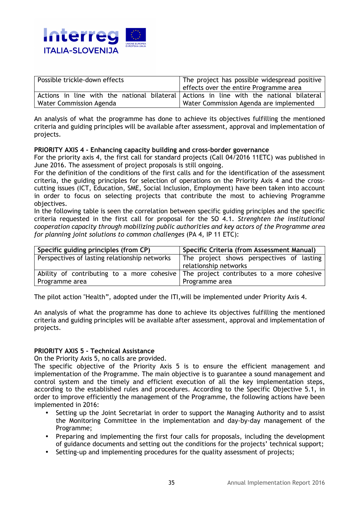

| Possible trickle-down effects | The project has possible widespread positive                                            |  |
|-------------------------------|-----------------------------------------------------------------------------------------|--|
|                               | effects over the entire Programme area                                                  |  |
|                               | Actions in line with the national bilateral Actions in line with the national bilateral |  |
| Water Commission Agenda       | Water Commission Agenda are implemented                                                 |  |

An analysis of what the programme has done to achieve its objectives fulfilling the mentioned criteria and guiding principles will be available after assessment, approval and implementation of projects.

#### **PRIORITY AXIS 4 - Enhancing capacity building and cross-border governance**

For the priority axis 4, the first call for standard projects (Call 04/2016 11ETC) was published in June 2016. The assessment of project proposals is still ongoing.

For the definition of the conditions of the first calls and for the identification of the assessment criteria, the guiding principles for selection of operations on the Priority Axis 4 and the crosscutting issues (ICT, Education, SME, Social Inclusion, Employment) have been taken into account in order to focus on selecting projects that contribute the most to achieving Programme objectives.

In the following table is seen the correlation between specific guiding principles and the specific criteria requested in the first call for proposal for the SO 4.1. *Strenghten the institutional cooperation capacity through mobilizing public authorities and key actors of the Programme area for planning joint solutions to common challenges* (PA 4, IP 11 ETC):

| Specific guiding principles (from CP)         | Specific Criteria (from Assessment Manual)                                            |  |
|-----------------------------------------------|---------------------------------------------------------------------------------------|--|
| Perspectives of lasting relationship networks | The project shows perspectives of lasting                                             |  |
|                                               | relationship networks                                                                 |  |
|                                               | Ability of contributing to a more cohesive The project contributes to a more cohesive |  |
| Programme area                                | Programme area                                                                        |  |

The pilot action "Health", adopted under the ITI,will be implemented under Priority Axis 4.

An analysis of what the programme has done to achieve its objectives fulfilling the mentioned criteria and guiding principles will be available after assessment, approval and implementation of projects.

#### **PRIORITY AXIS 5 - Technical Assistance**

On the Priority Axis 5, no calls are provided.

The specific objective of the Priority Axis 5 is to ensure the efficient management and implementation of the Programme. The main objective is to guarantee a sound management and control system and the timely and efficient execution of all the key implementation steps, according to the established rules and procedures. According to the Specific Objective 5.1, in order to improve efficiently the management of the Programme, the following actions have been implemented in 2016:

- Setting up the Joint Secretariat in order to support the Managing Authority and to assist the Monitoring Committee in the implementation and day-by-day management of the Programme;
- Preparing and implementing the first four calls for proposals, including the development of guidance documents and setting out the conditions for the projects' technical support;
- Setting-up and implementing procedures for the quality assessment of projects;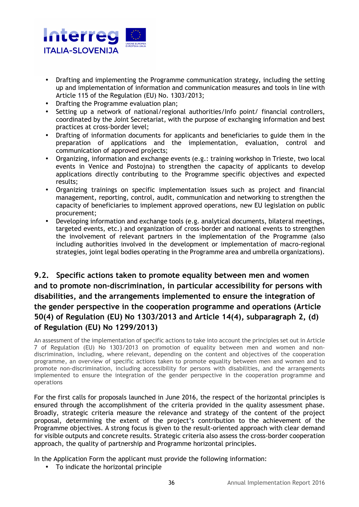

- Drafting and implementing the Programme communication strategy, including the setting up and implementation of information and communication measures and tools in line with Article 115 of the Regulation (EU) No. 1303/2013;
- Drafting the Programme evaluation plan;
- Setting up a network of national/regional authorities/Info point/ financial controllers, coordinated by the Joint Secretariat, with the purpose of exchanging information and best practices at cross-border level;
- Drafting of information documents for applicants and beneficiaries to guide them in the preparation of applications and the implementation, evaluation, control and communication of approved projects;
- Organizing, information and exchange events (e.g.: training workshop in Trieste, two local events in Venice and Postojna) to strengthen the capacity of applicants to develop applications directly contributing to the Programme specific objectives and expected results;
- Organizing trainings on specific implementation issues such as project and financial management, reporting, control, audit, communication and networking to strengthen the capacity of beneficiaries to implement approved operations, new EU legislation on public procurement;
- Developing information and exchange tools (e.g. analytical documents, bilateral meetings, targeted events, etc.) and organization of cross-border and national events to strengthen the involvement of relevant partners in the implementation of the Programme (also including authorities involved in the development or implementation of macro-regional strategies, joint legal bodies operating in the Programme area and umbrella organizations).

#### **9.2. Specific actions taken to promote equality between men and women and to promote non-discrimination, in particular accessibility for persons with disabilities, and the arrangements implemented to ensure the integration of the gender perspective in the cooperation programme and operations (Article 50(4) of Regulation (EU) No 1303/2013 and Article 14(4), subparagraph 2, (d) of Regulation (EU) No 1299/2013)**

An assessment of the implementation of specific actions to take into account the principles set out in Article 7 of Regulation (EU) No 1303/2013 on promotion of equality between men and women and nondiscrimination, including, where relevant, depending on the content and objectives of the cooperation programme, an overview of specific actions taken to promote equality between men and women and to promote non-discrimination, including accessibility for persons with disabilities, and the arrangements implemented to ensure the integration of the gender perspective in the cooperation programme and operations

For the first calls for proposals launched in June 2016, the respect of the horizontal principles is ensured through the accomplishment of the criteria provided in the quality assessment phase. Broadly, strategic criteria measure the relevance and strategy of the content of the project proposal, determining the extent of the project's contribution to the achievement of the Programme objectives. A strong focus is given to the result-oriented approach with clear demand for visible outputs and concrete results. Strategic criteria also assess the cross-border cooperation approach, the quality of partnership and Programme horizontal principles.

In the Application Form the applicant must provide the following information:

• To indicate the horizontal principle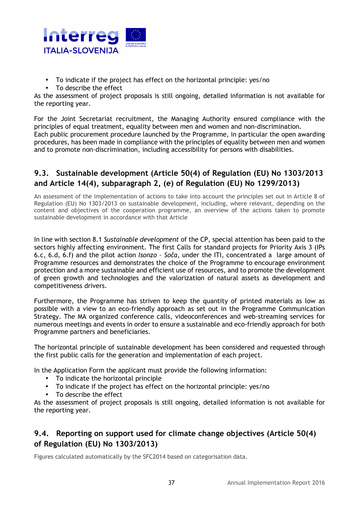

- To indicate if the project has effect on the horizontal principle: yes/no
- To describe the effect

As the assessment of project proposals is still ongoing, detailed information is not available for the reporting year.

For the Joint Secretariat recruitment, the Managing Authority ensured compliance with the principles of equal treatment, equality between men and women and non-discrimination. Each public procurement procedure launched by the Programme, in particular the open awarding procedures, has been made in compliance with the principles of equality between men and women and to promote non-discrimination, including accessibility for persons with disabilities.

#### **9.3. Sustainable development (Article 50(4) of Regulation (EU) No 1303/2013 and Article 14(4), subparagraph 2, (e) of Regulation (EU) No 1299/2013)**

An assessment of the implementation of actions to take into account the principles set out in Article 8 of Regulation (EU) No 1303/2013 on sustainable development, including, where relevant, depending on the content and objectives of the cooperation programme, an overview of the actions taken to promote sustainable development in accordance with that Article

In line with section 8.1 *Sustainable development* of the CP, special attention has been paid to the sectors highly affecting environment. The first Calls for standard projects for Priority Axis 3 (IPs 6.c, 6.d, 6.f) and the pilot action *Isonzo – Soča*, under the ITI, concentrated a large amount of Programme resources and demonstrates the choice of the Programme to encourage environment protection and a more sustainable and efficient use of resources, and to promote the development of green growth and technologies and the valorization of natural assets as development and competitiveness drivers.

Furthermore, the Programme has striven to keep the quantity of printed materials as low as possible with a view to an eco-friendly approach as set out in the Programme Communication Strategy. The MA organized conference calls, videoconferences and web-streaming services for numerous meetings and events in order to ensure a sustainable and eco-friendly approach for both Programme partners and beneficiaries.

The horizontal principle of sustainable development has been considered and requested through the first public calls for the generation and implementation of each project.

In the Application Form the applicant must provide the following information:

- To indicate the horizontal principle
- To indicate if the project has effect on the horizontal principle: yes/no
- To describe the effect

As the assessment of project proposals is still ongoing, detailed information is not available for the reporting year.

#### **9.4. Reporting on support used for climate change objectives (Article 50(4) of Regulation (EU) No 1303/2013)**

Figures calculated automatically by the SFC2014 based on categorisation data.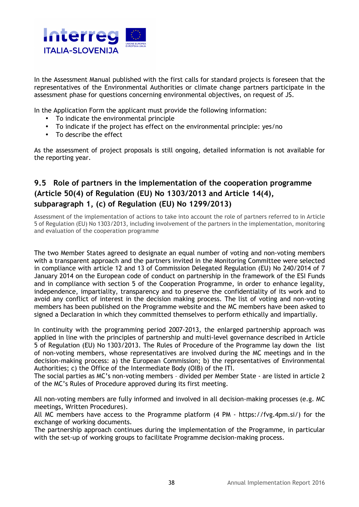

In the Assessment Manual published with the first calls for standard projects is foreseen that the representatives of the Environmental Authorities or climate change partners participate in the assessment phase for questions concerning environmental objectives, on request of JS.

In the Application Form the applicant must provide the following information:

- To indicate the environmental principle
- To indicate if the project has effect on the environmental principle: yes/no
- To describe the effect

As the assessment of project proposals is still ongoing, detailed information is not available for the reporting year.

### **9.5 Role of partners in the implementation of the cooperation programme (Article 50(4) of Regulation (EU) No 1303/2013 and Article 14(4), subparagraph 1, (c) of Regulation (EU) No 1299/2013)**

Assessment of the implementation of actions to take into account the role of partners referred to in Article 5 of Regulation (EU) No 1303/2013, including involvement of the partners in the implementation, monitoring and evaluation of the cooperation programme

The two Member States agreed to designate an equal number of voting and non-voting members with a transparent approach and the partners invited in the Monitoring Committee were selected in compliance with article 12 and 13 of Commission Delegated Regulation (EU) No 240/2014 of 7 January 2014 on the European code of conduct on partnership in the framework of the ESI Funds and in compliance with section 5 of the Cooperation Programme, in order to enhance legality, independence, impartiality, transparency and to preserve the confidentiality of its work and to avoid any conflict of interest in the decision making process. The list of voting and non-voting members has been published on the Programme website and the MC members have been asked to signed a Declaration in which they committed themselves to perform ethically and impartially.

In continuity with the programming period 2007-2013, the enlarged partnership approach was applied in line with the principles of partnership and multi-level governance described in Article 5 of Regulation (EU) No 1303/2013. The Rules of Procedure of the Programme lay down the list of non-voting members, whose representatives are involved during the MC meetings and in the decision-making process: a) the European Commission; b) the representatives of Environmental Authorities; c) the Office of the Intermediate Body (OIB) of the ITI.

The social parties as MC's non-voting members – divided per Member State - are listed in article 2 of the MC's Rules of Procedure approved during its first meeting.

All non-voting members are fully informed and involved in all decision-making processes (e.g. MC meetings, Written Procedures).

All MC members have access to the Programme platform (4 PM - https://fvg.4pm.si/) for the exchange of working documents.

The partnership approach continues during the implementation of the Programme, in particular with the set-up of working groups to facilitate Programme decision-making process.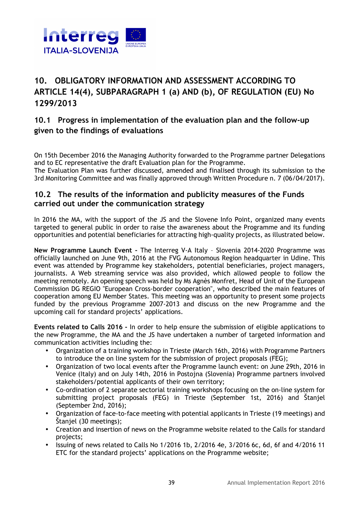

## **10. OBLIGATORY INFORMATION AND ASSESSMENT ACCORDING TO ARTICLE 14(4), SUBPARAGRAPH 1 (a) AND (b), OF REGULATION (EU) No 1299/2013**

#### **10.1 Progress in implementation of the evaluation plan and the follow-up given to the findings of evaluations**

On 15th December 2016 the Managing Authority forwarded to the Programme partner Delegations and to EC representative the draft Evaluation plan for the Programme.

The Evaluation Plan was further discussed, amended and finalised through its submission to the 3rd Monitoring Committee and was finally approved through Written Procedure n. 7 (06/04/2017).

#### **10.2 The results of the information and publicity measures of the Funds carried out under the communication strategy**

In 2016 the MA, with the support of the JS and the Slovene Info Point, organized many events targeted to general public in order to raise the awareness about the Programme and its funding opportunities and potential beneficiaries for attracting high-quality projects, as illustrated below.

**New Programme Launch Event -** The Interreg V-A Italy – Slovenia 2014-2020 Programme was officially launched on June 9th, 2016 at the FVG Autonomous Region headquarter in Udine. This event was attended by Programme key stakeholders, potential beneficiaries, project managers, journalists. A Web streaming service was also provided, which allowed people to follow the meeting remotely. An opening speech was held by Ms Agnès Monfret, Head of Unit of the European Commission DG REGIO "European Cross-border cooperation", who described the main features of cooperation among EU Member States. This meeting was an opportunity to present some projects funded by the previous Programme 2007-2013 and discuss on the new Programme and the upcoming call for standard projects' applications.

**Events related to Calls 2016 -** In order to help ensure the submission of eligible applications to the new Programme, the MA and the JS have undertaken a number of targeted information and communication activities including the:

- Organization of a training workshop in Trieste (March 16th, 2016) with Programme Partners to introduce the on line system for the submission of project proposals (FEG);
- Organization of two local events after the Programme launch event: on June 29th, 2016 in Venice (Italy) and on July 14th, 2016 in Postojna (Slovenia) Programme partners involved stakeholders/potential applicants of their own territory;
- Co-ordination of 2 separate sectorial training workshops focusing on the on-line system for submitting project proposals (FEG) in Trieste (September 1st, 2016) and Štanjel (September 2nd, 2016);
- Organization of face-to-face meeting with potential applicants in Trieste (19 meetings) and Štanjel (30 meetings);
- Creation and insertion of news on the Programme website related to the Calls for standard projects;
- Issuing of news related to Calls No 1/2016 1b, 2/2016 4e, 3/2016 6c, 6d, 6f and 4/2016 11 ETC for the standard projects' applications on the Programme website;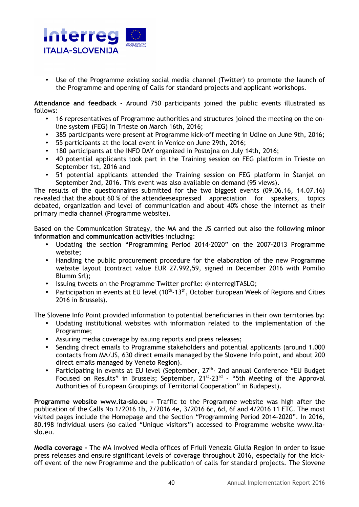

Use of the Programme existing social media channel (Twitter) to promote the launch of the Programme and opening of Calls for standard projects and applicant workshops.

**Attendance and feedback -** Around 750 participants joined the public events illustrated as follows:

- 16 representatives of Programme authorities and structures joined the meeting on the online system (FEG) in Trieste on March 16th, 2016;
- 385 participants were present at Programme kick-off meeting in Udine on June 9th, 2016;
- 55 participants at the local event in Venice on June 29th, 2016;
- 180 participants at the INFO DAY organized in Postojna on July 14th, 2016;
- 40 potential applicants took part in the Training session on FEG platform in Trieste on September 1st, 2016 and
- 51 potential applicants attended the Training session on FEG platform in Štanjel on September 2nd, 2016. This event was also available on demand (95 views).

The results of the questionnaires submitted for the two biggest events (09.06.16, 14.07.16) revealed that the about 60 % of the attendeesexpressed appreciation for speakers, topics debated, organization and level of communication and about 40% chose the Internet as their primary media channel (Programme website).

Based on the Communication Strategy, the MA and the JS carried out also the following **minor information and communication activities** including:

- Updating the section "Programming Period 2014-2020" on the 2007-2013 Programme website;
- Handling the public procurement procedure for the elaboration of the new Programme website layout (contract value EUR 27.992,59, signed in December 2016 with Pomilio Blumm Srl);
- Issuing tweets on the Programme Twitter profile: @InterregITASLO;
- Participation in events at EU level  $(10<sup>th</sup> 13<sup>th</sup>)$ , October European Week of Regions and Cities 2016 in Brussels).

The Slovene Info Point provided information to potential beneficiaries in their own territories by:

- Updating institutional websites with information related to the implementation of the Programme;
- Assuring media coverage by issuing reports and press releases;
- Sending direct emails to Programme stakeholders and potential applicants (around 1.000 contacts from MA/JS, 630 direct emails managed by the Slovene Info point, and about 200 direct emails managed by Veneto Region).
- Participating in events at EU level (September,  $27<sup>th</sup>$  2nd annual Conference "EU Budget Focused on Results" in Brussels; September, 21<sup>st</sup>-23<sup>rd</sup> - "5th Meeting of the Approval Authorities of European Groupings of Territorial Cooperation" in Budapest).

**Programme website www.ita-slo.eu -** Traffic to the Programme website was high after the publication of the Calls No 1/2016 1b, 2/2016 4e, 3/2016 6c, 6d, 6f and 4/2016 11 ETC. The most visited pages include the Homepage and the Section "Programming Period 2014-2020". In 2016, 80.198 individual users (so called "Unique visitors") accessed to Programme website www.itaslo.eu.

**Media coverage -** The MA involved Media offices of Friuli Venezia Giulia Region in order to issue press releases and ensure significant levels of coverage throughout 2016, especially for the kickoff event of the new Programme and the publication of calls for standard projects. The Slovene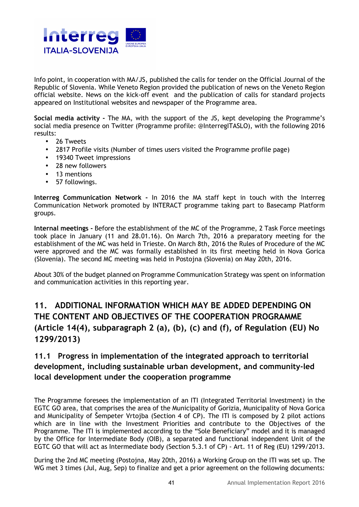

Info point, in cooperation with MA/JS, published the calls for tender on the Official Journal of the Republic of Slovenia. While Veneto Region provided the publication of news on the Veneto Region official website. News on the kick-off event and the publication of calls for standard projects appeared on Institutional websites and newspaper of the Programme area.

**Social media activity -** The MA, with the support of the JS, kept developing the Programme's social media presence on Twitter (Programme profile: @InterregITASLO), with the following 2016 results:

- 26 Tweets
- 2817 Profile visits (Number of times users visited the Programme profile page)
- 19340 Tweet impressions
- 28 new followers
- 13 mentions
- 57 followings.

**Interreg Communication Network -** In 2016 the MA staff kept in touch with the Interreg Communication Network promoted by INTERACT programme taking part to Basecamp Platform groups.

**Internal meetings -** Before the establishment of the MC of the Programme, 2 Task Force meetings took place in January (11 and 28.01.16). On March 7th, 2016 a preparatory meeting for the establishment of the MC was held in Trieste. On March 8th, 2016 the Rules of Procedure of the MC were approved and the MC was formally established in its first meeting held in Nova Gorica (Slovenia). The second MC meeting was held in Postojna (Slovenia) on May 20th, 2016.

About 30% of the budget planned on Programme Communication Strategy was spent on information and communication activities in this reporting year.

## **11. ADDITIONAL INFORMATION WHICH MAY BE ADDED DEPENDING ON THE CONTENT AND OBJECTIVES OF THE COOPERATION PROGRAMME (Article 14(4), subparagraph 2 (a), (b), (c) and (f), of Regulation (EU) No 1299/2013)**

#### **11.1 Progress in implementation of the integrated approach to territorial development, including sustainable urban development, and community-led local development under the cooperation programme**

The Programme foresees the implementation of an ITI (Integrated Territorial Investment) in the EGTC GO area, that comprises the area of the Municipality of Gorizia, Municipality of Nova Gorica and Municipality of Šempeter Vrtojba (Section 4 of CP). The ITI is composed by 2 pilot actions which are in line with the Investment Priorities and contribute to the Objectives of the Programme. The ITI is implemented according to the "Sole Beneficiary" model and it is managed by the Office for Intermediate Body (OIB), a separated and functional independent Unit of the EGTC GO that will act as Intermediate body (Section 5.3.1 of CP) - Art. 11 of Reg (EU) 1299/2013.

During the 2nd MC meeting (Postojna, May 20th, 2016) a Working Group on the ITI was set up. The WG met 3 times (Jul, Aug, Sep) to finalize and get a prior agreement on the following documents: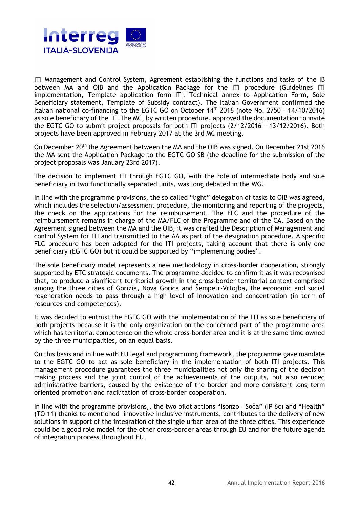

ITI Management and Control System, Agreement establishing the functions and tasks of the IB between MA and OIB and the Application Package for the ITI procedure (Guidelines ITI implementation, Template application form ITI, Technical annex to Application Form, Sole Beneficiary statement, Template of Subsidy contract). The Italian Government confirmed the Italian national co-financing to the EGTC GO on October 14<sup>th</sup> 2016 (note No. 2750 - 14/10/2016) as sole beneficiary of the ITI.The MC, by written procedure, approved the documentation to invite the EGTC GO to submit project proposals for both ITI projects (2/12/2016 – 13/12/2016). Both projects have been approved in February 2017 at the 3rd MC meeting.

On December 20<sup>th</sup> the Agreement between the MA and the OIB was signed. On December 21st 2016 the MA sent the Application Package to the EGTC GO SB (the deadline for the submission of the project proposals was January 23rd 2017).

The decision to implement ITI through EGTC GO, with the role of intermediate body and sole beneficiary in two functionally separated units, was long debated in the WG.

In line with the programme provisions, the so called "light" delegation of tasks to OIB was agreed, which includes the selection/assessment procedure, the monitoring and reporting of the projects, the check on the applications for the reimbursement. The FLC and the procedure of the reimbursement remains in charge of the MA/FLC of the Programme and of the CA. Based on the Agreement signed between the MA and the OIB, it was drafted the Description of Management and control System for ITI and transmitted to the AA as part of the designation procedure. A specific FLC procedure has been adopted for the ITI projects, taking account that there is only one beneficiary (EGTC GO) but it could be supported by "implementing bodies".

The sole beneficiary model represents a new methodology in cross-border cooperation, strongly supported by ETC strategic documents. The programme decided to confirm it as it was recognised that, to produce a significant territorial growth in the cross-border territorial context comprised among the three cities of Gorizia, Nova Gorica and Šempetr-Vrtojba, the economic and social regeneration needs to pass through a high level of innovation and concentration (in term of resources and competences).

It was decided to entrust the EGTC GO with the implementation of the ITI as sole beneficiary of both projects because it is the only organization on the concerned part of the programme area which has territorial competence on the whole cross-border area and it is at the same time owned by the three municipalities, on an equal basis.

On this basis and in line with EU legal and programming framework, the programme gave mandate to the EGTC GO to act as sole beneficiary in the implementation of both ITI projects. This management procedure guarantees the three municipalities not only the sharing of the decision making process and the joint control of the achievements of the outputs, but also reduced administrative barriers, caused by the existence of the border and more consistent long term oriented promotion and facilitation of cross-border cooperation.

In line with the programme provisions,, the two pilot actions "Isonzo – Soča" (IP 6c) and "Health" (TO 11) thanks to mentioned innovative inclusive instruments, contributes to the delivery of new solutions in support of the integration of the single urban area of the three cities. This experience could be a good role model for the other cross-border areas through EU and for the future agenda of integration process throughout EU.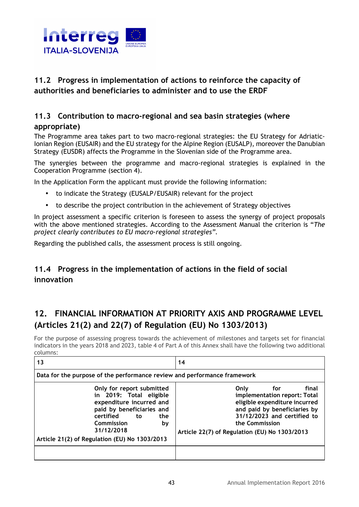

#### **11.2 Progress in implementation of actions to reinforce the capacity of authorities and beneficiaries to administer and to use the ERDF**

#### **11.3 Contribution to macro-regional and sea basin strategies (where appropriate)**

The Programme area takes part to two macro-regional strategies: the EU Strategy for Adriatic-Ionian Region (EUSAIR) and the EU strategy for the Alpine Region (EUSALP), moreover the Danubian Strategy (EUSDR) affects the Programme in the Slovenian side of the Programme area.

The synergies between the programme and macro-regional strategies is explained in the Cooperation Programme (section 4).

In the Application Form the applicant must provide the following information:

- to indicate the Strategy (EUSALP/EUSAIR) relevant for the project
- to describe the project contribution in the achievement of Strategy objectives

In project assessment a specific criterion is foreseen to assess the synergy of project proposals with the above mentioned strategies. According to the Assessment Manual the criterion is "*The project clearly contributes to EU macro-regional strategies".*

Regarding the published calls, the assessment process is still ongoing.

### **11.4 Progress in the implementation of actions in the field of social innovation**

## **12. FINANCIAL INFORMATION AT PRIORITY AXIS AND PROGRAMME LEVEL (Articles 21(2) and 22(7) of Regulation (EU) No 1303/2013)**

For the purpose of assessing progress towards the achievement of milestones and targets set for financial indicators in the years 2018 and 2023, table 4 of Part A of this Annex shall have the following two additional columns:

| 13                                                                       |                                                                                                                                                                                                                            | 14                                                                                                                                                                                                                      |  |  |  |
|--------------------------------------------------------------------------|----------------------------------------------------------------------------------------------------------------------------------------------------------------------------------------------------------------------------|-------------------------------------------------------------------------------------------------------------------------------------------------------------------------------------------------------------------------|--|--|--|
| Data for the purpose of the performance review and performance framework |                                                                                                                                                                                                                            |                                                                                                                                                                                                                         |  |  |  |
|                                                                          | Only for report submitted<br>in 2019: Total eligible<br>expenditure incurred and<br>paid by beneficiaries and<br>certified<br>to<br>the<br>Commission<br>by<br>31/12/2018<br>Article 21(2) of Regulation (EU) No 1303/2013 | final<br>Only<br>for<br>implementation report: Total<br>eligible expenditure incurred<br>and paid by beneficiaries by<br>31/12/2023 and certified to<br>the Commission<br>Article 22(7) of Regulation (EU) No 1303/2013 |  |  |  |
|                                                                          |                                                                                                                                                                                                                            |                                                                                                                                                                                                                         |  |  |  |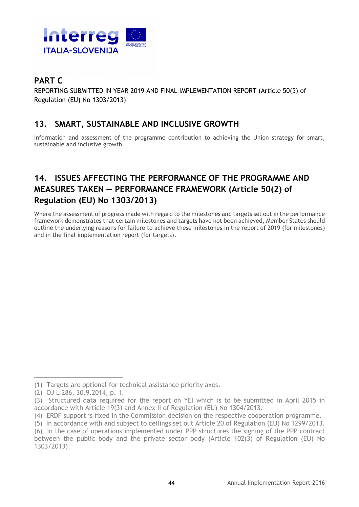

## **PART C**

REPORTING SUBMITTED IN YEAR 2019 AND FINAL IMPLEMENTATION REPORT (Article 50(5) of Regulation (EU) No 1303/2013)

### **13. SMART, SUSTAINABLE AND INCLUSIVE GROWTH**

Information and assessment of the programme contribution to achieving the Union strategy for smart, sustainable and inclusive growth.

## **14. ISSUES AFFECTING THE PERFORMANCE OF THE PROGRAMME AND MEASURES TAKEN — PERFORMANCE FRAMEWORK (Article 50(2) of Regulation (EU) No 1303/2013)**

Where the assessment of progress made with regard to the milestones and targets set out in the performance framework demonstrates that certain milestones and targets have not been achieved, Member States should outline the underlying reasons for failure to achieve these milestones in the report of 2019 (for milestones) and in the final implementation report (for targets).

<sup>(1)</sup> Targets are optional for technical assistance priority axes.

<sup>(2)</sup> OJ L 286, 30.9.2014, p. 1.

<sup>(3)</sup> Structured data required for the report on YEI which is to be submitted in April 2015 in accordance with Article 19(3) and Annex II of Regulation (EU) No 1304/2013.

<sup>(4)</sup> ERDF support is fixed in the Commission decision on the respective cooperation programme.

<sup>(5)</sup> In accordance with and subject to ceilings set out Article 20 of Regulation (EU) No 1299/2013.

<sup>(6)</sup> In the case of operations implemented under PPP structures the signing of the PPP contract between the public body and the private sector body (Article 102(3) of Regulation (EU) No 1303/2013).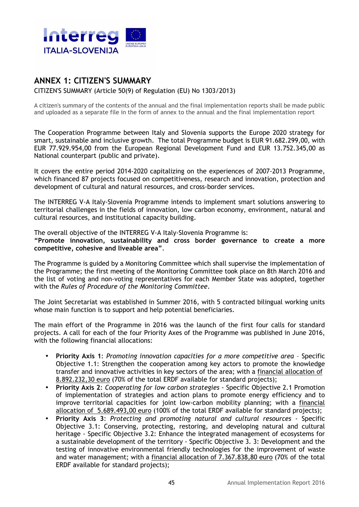

#### **ANNEX 1: CITIZEN'S SUMMARY**

CITIZEN'S SUMMARY (Article 50(9) of Regulation (EU) No 1303/2013)

A citizen's summary of the contents of the annual and the final implementation reports shall be made public and uploaded as a separate file in the form of annex to the annual and the final implementation report

The Cooperation Programme between Italy and Slovenia supports the Europe 2020 strategy for smart, sustainable and inclusive growth. The total Programme budget is EUR 91.682.299,00, with EUR 77.929.954,00 from the European Regional Development Fund and EUR 13.752.345,00 as National counterpart (public and private).

It covers the entire period 2014-2020 capitalizing on the experiences of 2007-2013 Programme, which financed 87 projects focused on competitiveness, research and innovation, protection and development of cultural and natural resources, and cross-border services.

The INTERREG V-A Italy-Slovenia Programme intends to implement smart solutions answering to territorial challenges in the fields of innovation, low carbon economy, environment, natural and cultural resources, and institutional capacity building.

The overall objective of the INTERREG V-A Italy-Slovenia Programme is: **"Promote innovation, sustainability and cross border governance to create a more competitive, cohesive and liveable area"**.

The Programme is guided by a Monitoring Committee which shall supervise the implementation of the Programme; the first meeting of the Monitoring Committee took place on 8th March 2016 and the list of voting and non-voting representatives for each Member State was adopted, together with the *Rules of Procedure of the Monitoring Committee*.

The Joint Secretariat was established in Summer 2016, with 5 contracted bilingual working units whose main function is to support and help potential beneficiaries.

The main effort of the Programme in 2016 was the launch of the first four calls for standard projects. A call for each of the four Priority Axes of the Programme was published in June 2016, with the following financial allocations:

- **Priority Axis 1**: *Promoting innovation capacities for a more competitive area* Specific Objective 1.1: Strengthen the cooperation among key actors to promote the knowledge transfer and innovative activities in key sectors of the area; with a financial allocation of 8.892.232,30 euro (70% of the total ERDF available for standard projects);
- **Priority Axis 2**: *Cooperating for low carbon strategies* Specific Objective 2.1 Promotion of implementation of strategies and action plans to promote energy efficiency and to improve territorial capacities for joint low-carbon mobility planning; with a financial allocation of 5.689.493,00 euro (100% of the total ERDF available for standard projects);
- **Priority Axis 3**: *Protecting and promoting natural and cultural resources* Specific Objective 3.1: Conserving, protecting, restoring, and developing natural and cultural heritage - Specific Objective 3.2: Enhance the integrated management of ecosystems for a sustainable development of the territory - Specific Objective 3. 3: Development and the testing of innovative environmental friendly technologies for the improvement of waste and water management; with a financial allocation of 7.367.838,80 euro (70% of the total ERDF available for standard projects);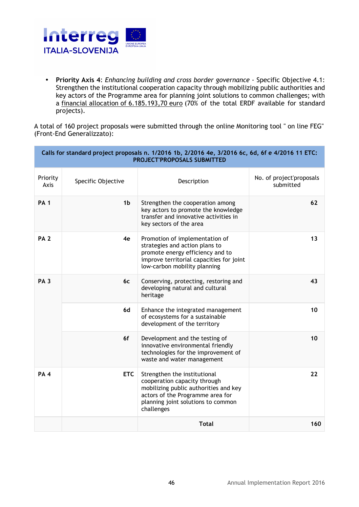

• **Priority Axis 4**: *Enhancing building and cross border governance* - Specific Objective 4.1: Strengthen the institutional cooperation capacity through mobilizing public authorities and key actors of the Programme area for planning joint solutions to common challenges; with a financial allocation of 6.185.193,70 euro (70% of the total ERDF available for standard projects).

A total of 160 project proposals were submitted through the online Monitoring tool " on line FEG" (Front-End Generalizzato):

| Calls for standard project proposals n. 1/2016 1b, 2/2016 4e, 3/2016 6c, 6d, 6f e 4/2016 11 ETC:<br><b>PROJECT'PROPOSALS SUBMITTED</b> |                                                                                      |                                                                                                                                                                                               |                                       |
|----------------------------------------------------------------------------------------------------------------------------------------|--------------------------------------------------------------------------------------|-----------------------------------------------------------------------------------------------------------------------------------------------------------------------------------------------|---------------------------------------|
| Priority<br>Axis                                                                                                                       | Specific Objective                                                                   | Description                                                                                                                                                                                   | No. of project'proposals<br>submitted |
| <b>PA 1</b>                                                                                                                            | 1 <sub>b</sub>                                                                       | Strengthen the cooperation among<br>key actors to promote the knowledge<br>transfer and innovative activities in<br>key sectors of the area                                                   | 62                                    |
| <b>PA 2</b>                                                                                                                            | 4e                                                                                   | Promotion of implementation of<br>strategies and action plans to<br>promote energy efficiency and to<br>improve territorial capacities for joint<br>low-carbon mobility planning              | 13                                    |
| <b>PA3</b><br><b>6c</b><br>6d<br>6f                                                                                                    | Conserving, protecting, restoring and<br>developing natural and cultural<br>heritage | 43                                                                                                                                                                                            |                                       |
|                                                                                                                                        |                                                                                      | Enhance the integrated management<br>of ecosystems for a sustainable<br>development of the territory                                                                                          | 10                                    |
|                                                                                                                                        |                                                                                      | Development and the testing of<br>innovative environmental friendly<br>technologies for the improvement of<br>waste and water management                                                      | 10                                    |
| PA <sub>4</sub>                                                                                                                        | <b>ETC</b>                                                                           | Strengthen the institutional<br>cooperation capacity through<br>mobilizing public authorities and key<br>actors of the Programme area for<br>planning joint solutions to common<br>challenges | 22                                    |
|                                                                                                                                        |                                                                                      | <b>Total</b>                                                                                                                                                                                  | 160                                   |